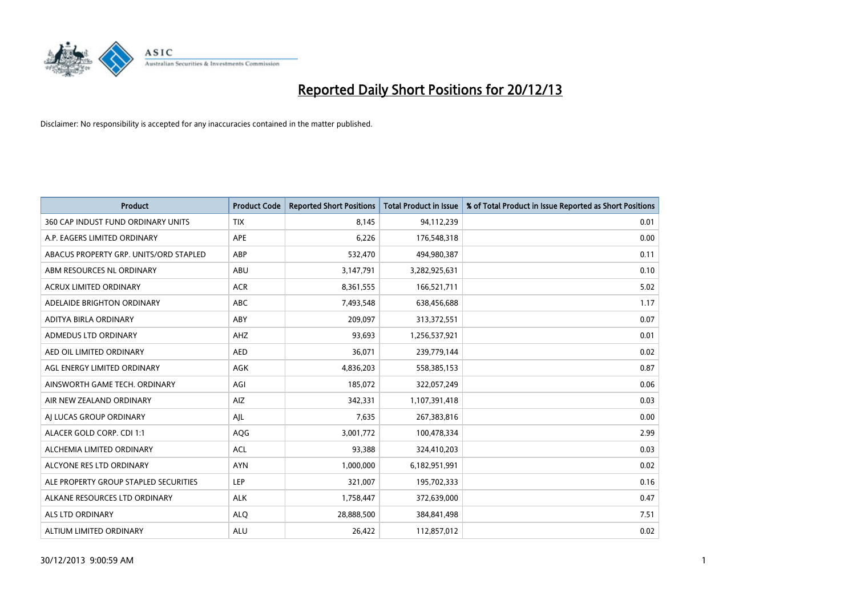

| <b>Product</b>                         | <b>Product Code</b> | <b>Reported Short Positions</b> | Total Product in Issue | % of Total Product in Issue Reported as Short Positions |
|----------------------------------------|---------------------|---------------------------------|------------------------|---------------------------------------------------------|
| 360 CAP INDUST FUND ORDINARY UNITS     | <b>TIX</b>          | 8.145                           | 94,112,239             | 0.01                                                    |
| A.P. EAGERS LIMITED ORDINARY           | <b>APE</b>          | 6,226                           | 176,548,318            | 0.00                                                    |
| ABACUS PROPERTY GRP. UNITS/ORD STAPLED | ABP                 | 532,470                         | 494,980,387            | 0.11                                                    |
| ABM RESOURCES NL ORDINARY              | ABU                 | 3,147,791                       | 3,282,925,631          | 0.10                                                    |
| <b>ACRUX LIMITED ORDINARY</b>          | <b>ACR</b>          | 8,361,555                       | 166,521,711            | 5.02                                                    |
| ADELAIDE BRIGHTON ORDINARY             | <b>ABC</b>          | 7,493,548                       | 638,456,688            | 1.17                                                    |
| ADITYA BIRLA ORDINARY                  | ABY                 | 209,097                         | 313,372,551            | 0.07                                                    |
| ADMEDUS LTD ORDINARY                   | AHZ                 | 93.693                          | 1,256,537,921          | 0.01                                                    |
| AED OIL LIMITED ORDINARY               | <b>AED</b>          | 36,071                          | 239,779,144            | 0.02                                                    |
| AGL ENERGY LIMITED ORDINARY            | <b>AGK</b>          | 4,836,203                       | 558,385,153            | 0.87                                                    |
| AINSWORTH GAME TECH. ORDINARY          | AGI                 | 185,072                         | 322,057,249            | 0.06                                                    |
| AIR NEW ZEALAND ORDINARY               | AIZ                 | 342,331                         | 1,107,391,418          | 0.03                                                    |
| AI LUCAS GROUP ORDINARY                | AJL                 | 7,635                           | 267,383,816            | 0.00                                                    |
| ALACER GOLD CORP. CDI 1:1              | AQG                 | 3,001,772                       | 100,478,334            | 2.99                                                    |
| ALCHEMIA LIMITED ORDINARY              | <b>ACL</b>          | 93,388                          | 324,410,203            | 0.03                                                    |
| ALCYONE RES LTD ORDINARY               | <b>AYN</b>          | 1,000,000                       | 6,182,951,991          | 0.02                                                    |
| ALE PROPERTY GROUP STAPLED SECURITIES  | <b>LEP</b>          | 321,007                         | 195,702,333            | 0.16                                                    |
| ALKANE RESOURCES LTD ORDINARY          | <b>ALK</b>          | 1,758,447                       | 372,639,000            | 0.47                                                    |
| ALS LTD ORDINARY                       | <b>ALO</b>          | 28,888,500                      | 384, 841, 498          | 7.51                                                    |
| ALTIUM LIMITED ORDINARY                | <b>ALU</b>          | 26,422                          | 112,857,012            | 0.02                                                    |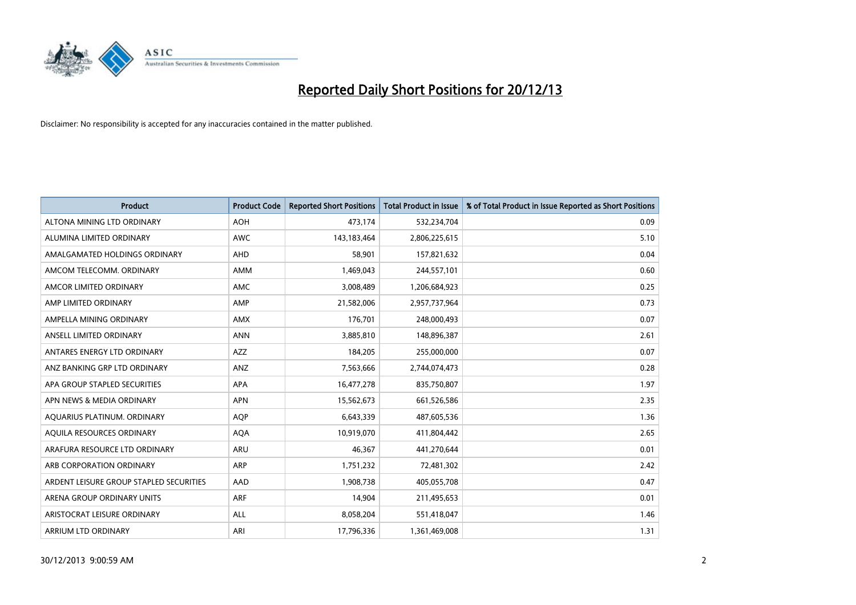

| <b>Product</b>                          | <b>Product Code</b> | <b>Reported Short Positions</b> | <b>Total Product in Issue</b> | % of Total Product in Issue Reported as Short Positions |
|-----------------------------------------|---------------------|---------------------------------|-------------------------------|---------------------------------------------------------|
| ALTONA MINING LTD ORDINARY              | <b>AOH</b>          | 473,174                         | 532,234,704                   | 0.09                                                    |
| ALUMINA LIMITED ORDINARY                | AWC                 | 143, 183, 464                   | 2,806,225,615                 | 5.10                                                    |
| AMALGAMATED HOLDINGS ORDINARY           | AHD                 | 58,901                          | 157,821,632                   | 0.04                                                    |
| AMCOM TELECOMM, ORDINARY                | AMM                 | 1,469,043                       | 244,557,101                   | 0.60                                                    |
| AMCOR LIMITED ORDINARY                  | AMC                 | 3,008,489                       | 1,206,684,923                 | 0.25                                                    |
| AMP LIMITED ORDINARY                    | AMP                 | 21,582,006                      | 2,957,737,964                 | 0.73                                                    |
| AMPELLA MINING ORDINARY                 | AMX                 | 176,701                         | 248,000,493                   | 0.07                                                    |
| ANSELL LIMITED ORDINARY                 | <b>ANN</b>          | 3,885,810                       | 148,896,387                   | 2.61                                                    |
| ANTARES ENERGY LTD ORDINARY             | <b>AZZ</b>          | 184,205                         | 255,000,000                   | 0.07                                                    |
| ANZ BANKING GRP LTD ORDINARY            | ANZ                 | 7,563,666                       | 2,744,074,473                 | 0.28                                                    |
| APA GROUP STAPLED SECURITIES            | APA                 | 16,477,278                      | 835,750,807                   | 1.97                                                    |
| APN NEWS & MEDIA ORDINARY               | <b>APN</b>          | 15,562,673                      | 661,526,586                   | 2.35                                                    |
| AQUARIUS PLATINUM. ORDINARY             | <b>AOP</b>          | 6,643,339                       | 487,605,536                   | 1.36                                                    |
| AOUILA RESOURCES ORDINARY               | <b>AQA</b>          | 10,919,070                      | 411,804,442                   | 2.65                                                    |
| ARAFURA RESOURCE LTD ORDINARY           | ARU                 | 46,367                          | 441,270,644                   | 0.01                                                    |
| ARB CORPORATION ORDINARY                | ARP                 | 1,751,232                       | 72,481,302                    | 2.42                                                    |
| ARDENT LEISURE GROUP STAPLED SECURITIES | AAD                 | 1,908,738                       | 405,055,708                   | 0.47                                                    |
| ARENA GROUP ORDINARY UNITS              | <b>ARF</b>          | 14,904                          | 211,495,653                   | 0.01                                                    |
| ARISTOCRAT LEISURE ORDINARY             | <b>ALL</b>          | 8,058,204                       | 551,418,047                   | 1.46                                                    |
| ARRIUM LTD ORDINARY                     | ARI                 | 17,796,336                      | 1,361,469,008                 | 1.31                                                    |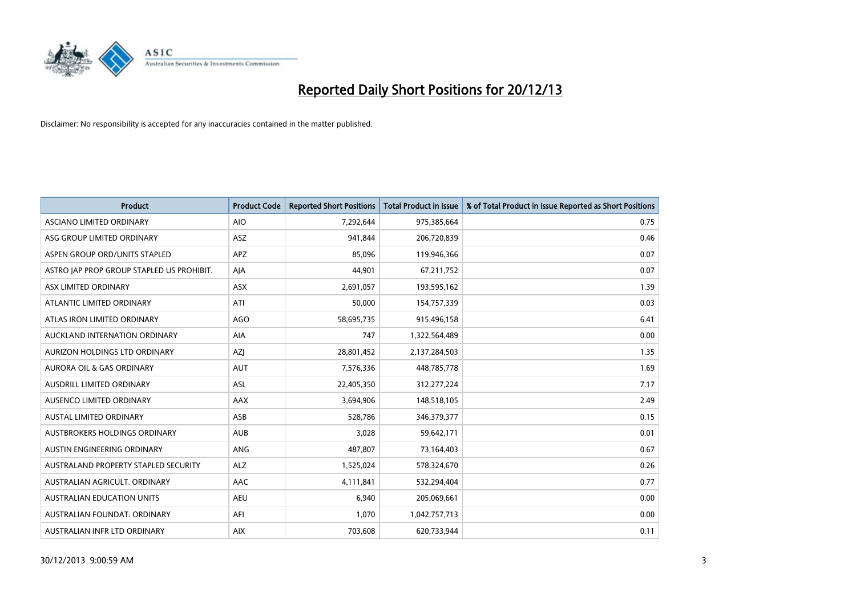

| <b>Product</b>                            | <b>Product Code</b> | <b>Reported Short Positions</b> | <b>Total Product in Issue</b> | % of Total Product in Issue Reported as Short Positions |
|-------------------------------------------|---------------------|---------------------------------|-------------------------------|---------------------------------------------------------|
| ASCIANO LIMITED ORDINARY                  | <b>AIO</b>          | 7,292,644                       | 975,385,664                   | 0.75                                                    |
| ASG GROUP LIMITED ORDINARY                | ASZ                 | 941,844                         | 206,720,839                   | 0.46                                                    |
| ASPEN GROUP ORD/UNITS STAPLED             | APZ                 | 85,096                          | 119,946,366                   | 0.07                                                    |
| ASTRO JAP PROP GROUP STAPLED US PROHIBIT. | AJA                 | 44,901                          | 67,211,752                    | 0.07                                                    |
| ASX LIMITED ORDINARY                      | ASX                 | 2,691,057                       | 193,595,162                   | 1.39                                                    |
| ATLANTIC LIMITED ORDINARY                 | ATI                 | 50,000                          | 154,757,339                   | 0.03                                                    |
| ATLAS IRON LIMITED ORDINARY               | <b>AGO</b>          | 58,695,735                      | 915,496,158                   | 6.41                                                    |
| AUCKLAND INTERNATION ORDINARY             | AIA                 | 747                             | 1,322,564,489                 | 0.00                                                    |
| AURIZON HOLDINGS LTD ORDINARY             | AZJ                 | 28,801,452                      | 2,137,284,503                 | 1.35                                                    |
| <b>AURORA OIL &amp; GAS ORDINARY</b>      | <b>AUT</b>          | 7,576,336                       | 448,785,778                   | 1.69                                                    |
| AUSDRILL LIMITED ORDINARY                 | <b>ASL</b>          | 22,405,350                      | 312,277,224                   | 7.17                                                    |
| AUSENCO LIMITED ORDINARY                  | AAX                 | 3,694,906                       | 148,518,105                   | 2.49                                                    |
| AUSTAL LIMITED ORDINARY                   | ASB                 | 528,786                         | 346, 379, 377                 | 0.15                                                    |
| AUSTBROKERS HOLDINGS ORDINARY             | <b>AUB</b>          | 3,028                           | 59,642,171                    | 0.01                                                    |
| AUSTIN ENGINEERING ORDINARY               | ANG                 | 487,807                         | 73,164,403                    | 0.67                                                    |
| AUSTRALAND PROPERTY STAPLED SECURITY      | <b>ALZ</b>          | 1,525,024                       | 578,324,670                   | 0.26                                                    |
| AUSTRALIAN AGRICULT. ORDINARY             | AAC                 | 4,111,841                       | 532,294,404                   | 0.77                                                    |
| AUSTRALIAN EDUCATION UNITS                | <b>AEU</b>          | 6,940                           | 205,069,661                   | 0.00                                                    |
| AUSTRALIAN FOUNDAT, ORDINARY              | AFI                 | 1,070                           | 1,042,757,713                 | 0.00                                                    |
| AUSTRALIAN INFR LTD ORDINARY              | <b>AIX</b>          | 703,608                         | 620,733,944                   | 0.11                                                    |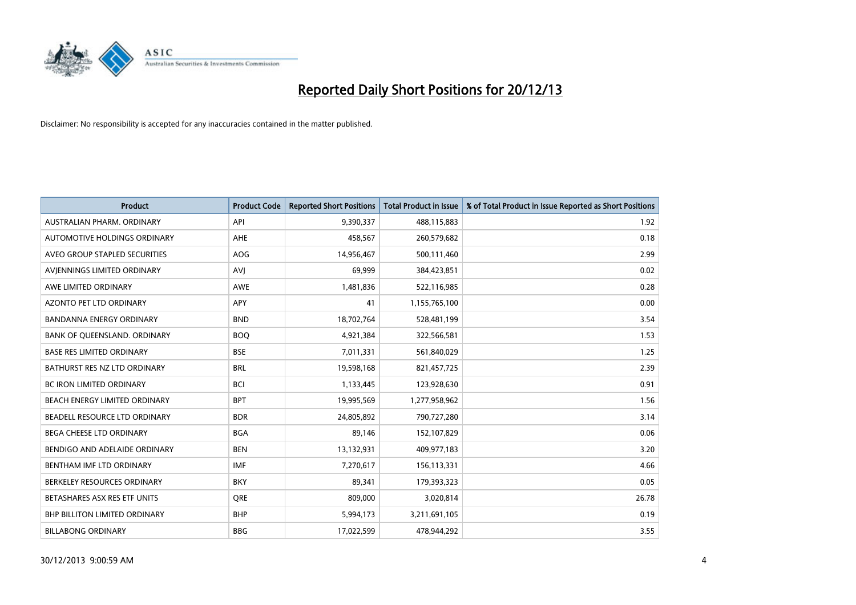

| <b>Product</b>                       | <b>Product Code</b> | <b>Reported Short Positions</b> | <b>Total Product in Issue</b> | % of Total Product in Issue Reported as Short Positions |
|--------------------------------------|---------------------|---------------------------------|-------------------------------|---------------------------------------------------------|
| AUSTRALIAN PHARM, ORDINARY           | API                 | 9,390,337                       | 488,115,883                   | 1.92                                                    |
| AUTOMOTIVE HOLDINGS ORDINARY         | AHE                 | 458,567                         | 260,579,682                   | 0.18                                                    |
| AVEO GROUP STAPLED SECURITIES        | <b>AOG</b>          | 14,956,467                      | 500,111,460                   | 2.99                                                    |
| AVJENNINGS LIMITED ORDINARY          | <b>AVJ</b>          | 69,999                          | 384,423,851                   | 0.02                                                    |
| AWE LIMITED ORDINARY                 | <b>AWE</b>          | 1,481,836                       | 522,116,985                   | 0.28                                                    |
| <b>AZONTO PET LTD ORDINARY</b>       | <b>APY</b>          | 41                              | 1,155,765,100                 | 0.00                                                    |
| <b>BANDANNA ENERGY ORDINARY</b>      | <b>BND</b>          | 18,702,764                      | 528,481,199                   | 3.54                                                    |
| BANK OF QUEENSLAND. ORDINARY         | <b>BOQ</b>          | 4,921,384                       | 322,566,581                   | 1.53                                                    |
| <b>BASE RES LIMITED ORDINARY</b>     | <b>BSE</b>          | 7,011,331                       | 561,840,029                   | 1.25                                                    |
| BATHURST RES NZ LTD ORDINARY         | <b>BRL</b>          | 19,598,168                      | 821,457,725                   | 2.39                                                    |
| BC IRON LIMITED ORDINARY             | <b>BCI</b>          | 1,133,445                       | 123,928,630                   | 0.91                                                    |
| BEACH ENERGY LIMITED ORDINARY        | <b>BPT</b>          | 19,995,569                      | 1,277,958,962                 | 1.56                                                    |
| BEADELL RESOURCE LTD ORDINARY        | <b>BDR</b>          | 24,805,892                      | 790,727,280                   | 3.14                                                    |
| <b>BEGA CHEESE LTD ORDINARY</b>      | <b>BGA</b>          | 89,146                          | 152,107,829                   | 0.06                                                    |
| BENDIGO AND ADELAIDE ORDINARY        | <b>BEN</b>          | 13,132,931                      | 409,977,183                   | 3.20                                                    |
| BENTHAM IMF LTD ORDINARY             | <b>IMF</b>          | 7,270,617                       | 156,113,331                   | 4.66                                                    |
| BERKELEY RESOURCES ORDINARY          | <b>BKY</b>          | 89,341                          | 179,393,323                   | 0.05                                                    |
| BETASHARES ASX RES ETF UNITS         | <b>ORE</b>          | 809,000                         | 3,020,814                     | 26.78                                                   |
| <b>BHP BILLITON LIMITED ORDINARY</b> | <b>BHP</b>          | 5,994,173                       | 3,211,691,105                 | 0.19                                                    |
| <b>BILLABONG ORDINARY</b>            | <b>BBG</b>          | 17,022,599                      | 478,944,292                   | 3.55                                                    |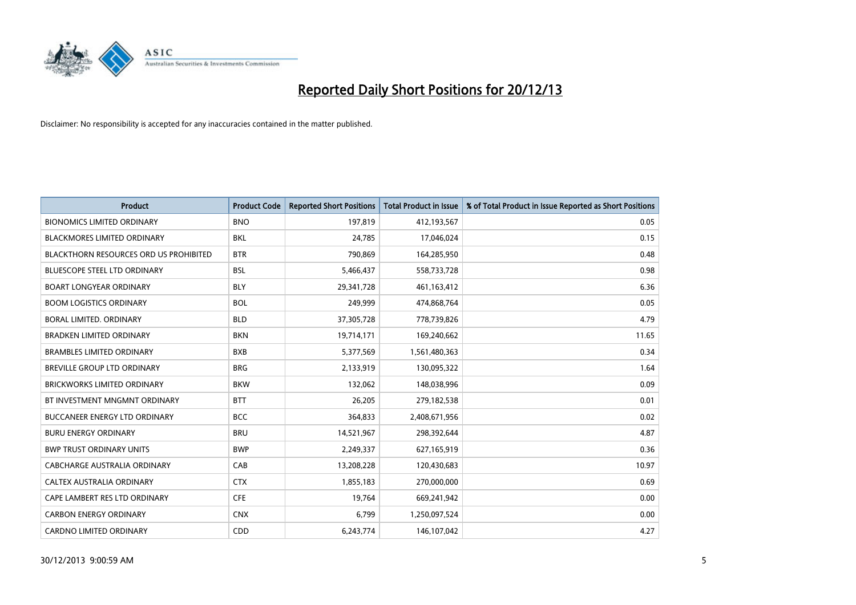

| <b>Product</b>                                | <b>Product Code</b> | <b>Reported Short Positions</b> | <b>Total Product in Issue</b> | % of Total Product in Issue Reported as Short Positions |
|-----------------------------------------------|---------------------|---------------------------------|-------------------------------|---------------------------------------------------------|
| <b>BIONOMICS LIMITED ORDINARY</b>             | <b>BNO</b>          | 197,819                         | 412,193,567                   | 0.05                                                    |
| BLACKMORES LIMITED ORDINARY                   | BKL                 | 24,785                          | 17,046,024                    | 0.15                                                    |
| <b>BLACKTHORN RESOURCES ORD US PROHIBITED</b> | <b>BTR</b>          | 790,869                         | 164,285,950                   | 0.48                                                    |
| BLUESCOPE STEEL LTD ORDINARY                  | <b>BSL</b>          | 5,466,437                       | 558,733,728                   | 0.98                                                    |
| <b>BOART LONGYEAR ORDINARY</b>                | <b>BLY</b>          | 29,341,728                      | 461,163,412                   | 6.36                                                    |
| <b>BOOM LOGISTICS ORDINARY</b>                | <b>BOL</b>          | 249,999                         | 474,868,764                   | 0.05                                                    |
| BORAL LIMITED, ORDINARY                       | <b>BLD</b>          | 37,305,728                      | 778,739,826                   | 4.79                                                    |
| <b>BRADKEN LIMITED ORDINARY</b>               | <b>BKN</b>          | 19,714,171                      | 169,240,662                   | 11.65                                                   |
| <b>BRAMBLES LIMITED ORDINARY</b>              | <b>BXB</b>          | 5,377,569                       | 1,561,480,363                 | 0.34                                                    |
| <b>BREVILLE GROUP LTD ORDINARY</b>            | <b>BRG</b>          | 2,133,919                       | 130,095,322                   | 1.64                                                    |
| BRICKWORKS LIMITED ORDINARY                   | <b>BKW</b>          | 132,062                         | 148,038,996                   | 0.09                                                    |
| BT INVESTMENT MNGMNT ORDINARY                 | <b>BTT</b>          | 26,205                          | 279,182,538                   | 0.01                                                    |
| <b>BUCCANEER ENERGY LTD ORDINARY</b>          | <b>BCC</b>          | 364,833                         | 2,408,671,956                 | 0.02                                                    |
| <b>BURU ENERGY ORDINARY</b>                   | <b>BRU</b>          | 14,521,967                      | 298,392,644                   | 4.87                                                    |
| <b>BWP TRUST ORDINARY UNITS</b>               | <b>BWP</b>          | 2,249,337                       | 627,165,919                   | 0.36                                                    |
| CABCHARGE AUSTRALIA ORDINARY                  | CAB                 | 13,208,228                      | 120,430,683                   | 10.97                                                   |
| CALTEX AUSTRALIA ORDINARY                     | <b>CTX</b>          | 1,855,183                       | 270,000,000                   | 0.69                                                    |
| CAPE LAMBERT RES LTD ORDINARY                 | <b>CFE</b>          | 19,764                          | 669,241,942                   | 0.00                                                    |
| <b>CARBON ENERGY ORDINARY</b>                 | <b>CNX</b>          | 6,799                           | 1,250,097,524                 | 0.00                                                    |
| <b>CARDNO LIMITED ORDINARY</b>                | CDD                 | 6,243,774                       | 146,107,042                   | 4.27                                                    |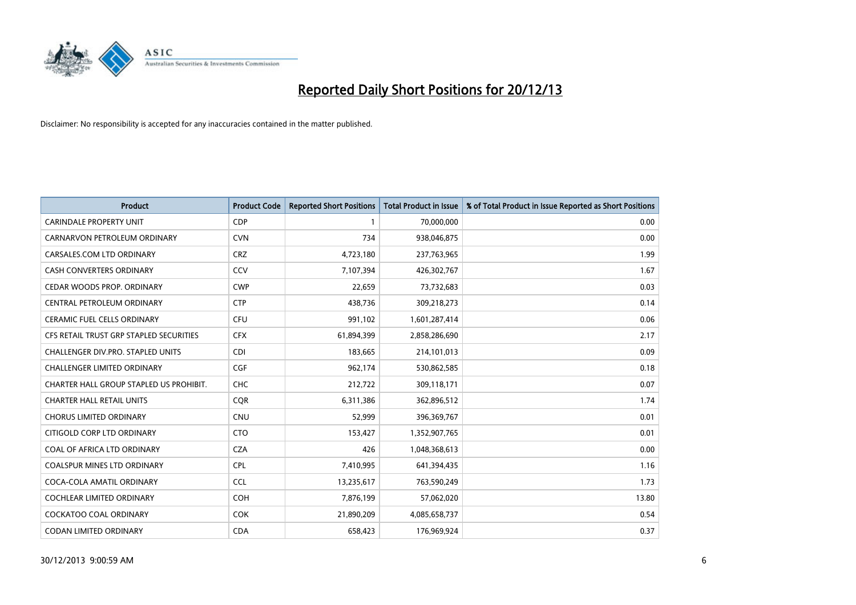

| <b>Product</b>                          | <b>Product Code</b> | <b>Reported Short Positions</b> | <b>Total Product in Issue</b> | % of Total Product in Issue Reported as Short Positions |
|-----------------------------------------|---------------------|---------------------------------|-------------------------------|---------------------------------------------------------|
| <b>CARINDALE PROPERTY UNIT</b>          | <b>CDP</b>          | $\mathbf{1}$                    | 70,000,000                    | 0.00                                                    |
| CARNARVON PETROLEUM ORDINARY            | <b>CVN</b>          | 734                             | 938,046,875                   | 0.00                                                    |
| CARSALES.COM LTD ORDINARY               | <b>CRZ</b>          | 4,723,180                       | 237,763,965                   | 1.99                                                    |
| CASH CONVERTERS ORDINARY                | CCV                 | 7,107,394                       | 426,302,767                   | 1.67                                                    |
| CEDAR WOODS PROP. ORDINARY              | <b>CWP</b>          | 22,659                          | 73,732,683                    | 0.03                                                    |
| CENTRAL PETROLEUM ORDINARY              | <b>CTP</b>          | 438,736                         | 309,218,273                   | 0.14                                                    |
| CERAMIC FUEL CELLS ORDINARY             | <b>CFU</b>          | 991,102                         | 1,601,287,414                 | 0.06                                                    |
| CFS RETAIL TRUST GRP STAPLED SECURITIES | <b>CFX</b>          | 61,894,399                      | 2,858,286,690                 | 2.17                                                    |
| CHALLENGER DIV.PRO. STAPLED UNITS       | <b>CDI</b>          | 183,665                         | 214,101,013                   | 0.09                                                    |
| <b>CHALLENGER LIMITED ORDINARY</b>      | <b>CGF</b>          | 962,174                         | 530,862,585                   | 0.18                                                    |
| CHARTER HALL GROUP STAPLED US PROHIBIT. | <b>CHC</b>          | 212,722                         | 309,118,171                   | 0.07                                                    |
| <b>CHARTER HALL RETAIL UNITS</b>        | <b>CQR</b>          | 6,311,386                       | 362,896,512                   | 1.74                                                    |
| CHORUS LIMITED ORDINARY                 | <b>CNU</b>          | 52,999                          | 396,369,767                   | 0.01                                                    |
| CITIGOLD CORP LTD ORDINARY              | <b>CTO</b>          | 153,427                         | 1,352,907,765                 | 0.01                                                    |
| COAL OF AFRICA LTD ORDINARY             | <b>CZA</b>          | 426                             | 1,048,368,613                 | 0.00                                                    |
| <b>COALSPUR MINES LTD ORDINARY</b>      | <b>CPL</b>          | 7,410,995                       | 641,394,435                   | 1.16                                                    |
| COCA-COLA AMATIL ORDINARY               | <b>CCL</b>          | 13,235,617                      | 763,590,249                   | 1.73                                                    |
| COCHLEAR LIMITED ORDINARY               | <b>COH</b>          | 7,876,199                       | 57,062,020                    | 13.80                                                   |
| <b>COCKATOO COAL ORDINARY</b>           | <b>COK</b>          | 21,890,209                      | 4,085,658,737                 | 0.54                                                    |
| CODAN LIMITED ORDINARY                  | <b>CDA</b>          | 658,423                         | 176,969,924                   | 0.37                                                    |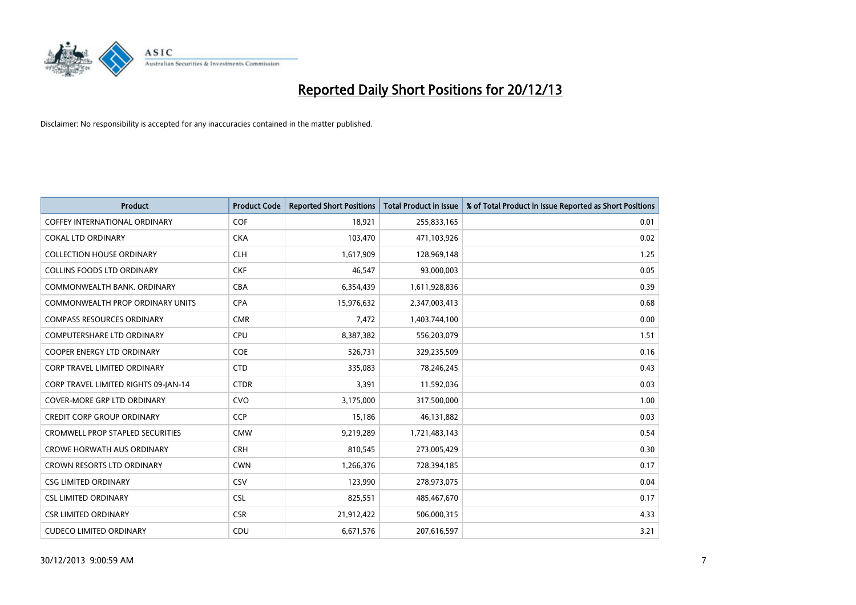

| <b>Product</b>                          | <b>Product Code</b> | <b>Reported Short Positions</b> | <b>Total Product in Issue</b> | % of Total Product in Issue Reported as Short Positions |
|-----------------------------------------|---------------------|---------------------------------|-------------------------------|---------------------------------------------------------|
| <b>COFFEY INTERNATIONAL ORDINARY</b>    | <b>COF</b>          | 18,921                          | 255,833,165                   | 0.01                                                    |
| <b>COKAL LTD ORDINARY</b>               | <b>CKA</b>          | 103,470                         | 471,103,926                   | 0.02                                                    |
| <b>COLLECTION HOUSE ORDINARY</b>        | <b>CLH</b>          | 1,617,909                       | 128,969,148                   | 1.25                                                    |
| <b>COLLINS FOODS LTD ORDINARY</b>       | <b>CKF</b>          | 46,547                          | 93,000,003                    | 0.05                                                    |
| COMMONWEALTH BANK, ORDINARY             | <b>CBA</b>          | 6,354,439                       | 1,611,928,836                 | 0.39                                                    |
| <b>COMMONWEALTH PROP ORDINARY UNITS</b> | <b>CPA</b>          | 15,976,632                      | 2,347,003,413                 | 0.68                                                    |
| <b>COMPASS RESOURCES ORDINARY</b>       | <b>CMR</b>          | 7,472                           | 1,403,744,100                 | 0.00                                                    |
| <b>COMPUTERSHARE LTD ORDINARY</b>       | <b>CPU</b>          | 8,387,382                       | 556,203,079                   | 1.51                                                    |
| <b>COOPER ENERGY LTD ORDINARY</b>       | <b>COE</b>          | 526,731                         | 329,235,509                   | 0.16                                                    |
| <b>CORP TRAVEL LIMITED ORDINARY</b>     | <b>CTD</b>          | 335,083                         | 78,246,245                    | 0.43                                                    |
| CORP TRAVEL LIMITED RIGHTS 09-JAN-14    | <b>CTDR</b>         | 3,391                           | 11,592,036                    | 0.03                                                    |
| <b>COVER-MORE GRP LTD ORDINARY</b>      | <b>CVO</b>          | 3,175,000                       | 317,500,000                   | 1.00                                                    |
| <b>CREDIT CORP GROUP ORDINARY</b>       | <b>CCP</b>          | 15,186                          | 46,131,882                    | 0.03                                                    |
| <b>CROMWELL PROP STAPLED SECURITIES</b> | <b>CMW</b>          | 9,219,289                       | 1,721,483,143                 | 0.54                                                    |
| <b>CROWE HORWATH AUS ORDINARY</b>       | <b>CRH</b>          | 810,545                         | 273,005,429                   | 0.30                                                    |
| CROWN RESORTS LTD ORDINARY              | <b>CWN</b>          | 1,266,376                       | 728,394,185                   | 0.17                                                    |
| <b>CSG LIMITED ORDINARY</b>             | <b>CSV</b>          | 123,990                         | 278,973,075                   | 0.04                                                    |
| <b>CSL LIMITED ORDINARY</b>             | <b>CSL</b>          | 825,551                         | 485,467,670                   | 0.17                                                    |
| <b>CSR LIMITED ORDINARY</b>             | <b>CSR</b>          | 21,912,422                      | 506,000,315                   | 4.33                                                    |
| <b>CUDECO LIMITED ORDINARY</b>          | CDU                 | 6,671,576                       | 207,616,597                   | 3.21                                                    |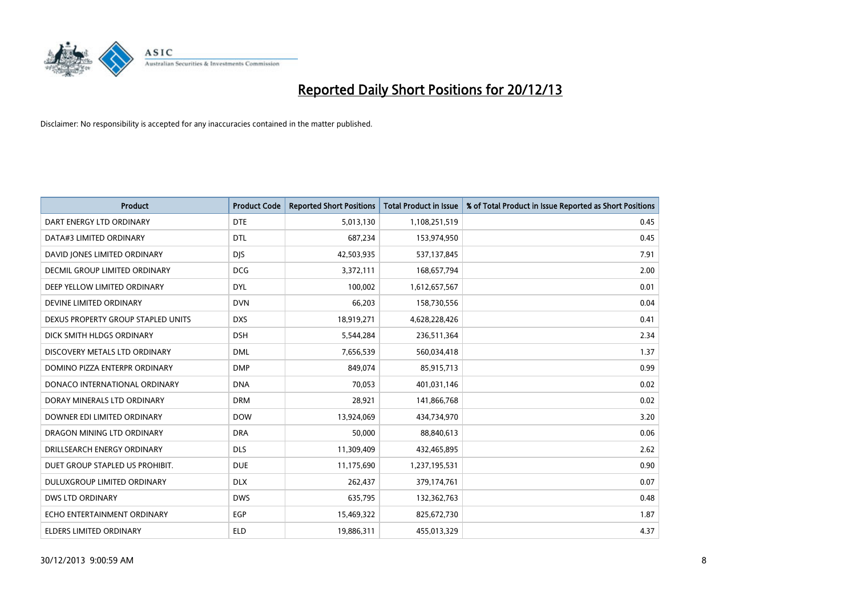

| <b>Product</b>                       | <b>Product Code</b> | <b>Reported Short Positions</b> | <b>Total Product in Issue</b> | % of Total Product in Issue Reported as Short Positions |
|--------------------------------------|---------------------|---------------------------------|-------------------------------|---------------------------------------------------------|
| DART ENERGY LTD ORDINARY             | <b>DTE</b>          | 5,013,130                       | 1,108,251,519                 | 0.45                                                    |
| DATA#3 LIMITED ORDINARY              | <b>DTL</b>          | 687,234                         | 153,974,950                   | 0.45                                                    |
| DAVID JONES LIMITED ORDINARY         | <b>DJS</b>          | 42,503,935                      | 537,137,845                   | 7.91                                                    |
| <b>DECMIL GROUP LIMITED ORDINARY</b> | <b>DCG</b>          | 3,372,111                       | 168,657,794                   | 2.00                                                    |
| DEEP YELLOW LIMITED ORDINARY         | <b>DYL</b>          | 100,002                         | 1,612,657,567                 | 0.01                                                    |
| DEVINE LIMITED ORDINARY              | <b>DVN</b>          | 66,203                          | 158,730,556                   | 0.04                                                    |
| DEXUS PROPERTY GROUP STAPLED UNITS   | <b>DXS</b>          | 18,919,271                      | 4,628,228,426                 | 0.41                                                    |
| DICK SMITH HLDGS ORDINARY            | <b>DSH</b>          | 5,544,284                       | 236,511,364                   | 2.34                                                    |
| DISCOVERY METALS LTD ORDINARY        | <b>DML</b>          | 7,656,539                       | 560,034,418                   | 1.37                                                    |
| DOMINO PIZZA ENTERPR ORDINARY        | <b>DMP</b>          | 849,074                         | 85,915,713                    | 0.99                                                    |
| DONACO INTERNATIONAL ORDINARY        | <b>DNA</b>          | 70,053                          | 401,031,146                   | 0.02                                                    |
| DORAY MINERALS LTD ORDINARY          | <b>DRM</b>          | 28,921                          | 141,866,768                   | 0.02                                                    |
| DOWNER EDI LIMITED ORDINARY          | <b>DOW</b>          | 13,924,069                      | 434,734,970                   | 3.20                                                    |
| DRAGON MINING LTD ORDINARY           | <b>DRA</b>          | 50,000                          | 88,840,613                    | 0.06                                                    |
| DRILLSEARCH ENERGY ORDINARY          | <b>DLS</b>          | 11,309,409                      | 432,465,895                   | 2.62                                                    |
| DUET GROUP STAPLED US PROHIBIT.      | <b>DUE</b>          | 11,175,690                      | 1,237,195,531                 | 0.90                                                    |
| DULUXGROUP LIMITED ORDINARY          | <b>DLX</b>          | 262,437                         | 379,174,761                   | 0.07                                                    |
| <b>DWS LTD ORDINARY</b>              | <b>DWS</b>          | 635,795                         | 132,362,763                   | 0.48                                                    |
| ECHO ENTERTAINMENT ORDINARY          | EGP                 | 15,469,322                      | 825,672,730                   | 1.87                                                    |
| ELDERS LIMITED ORDINARY              | <b>ELD</b>          | 19,886,311                      | 455,013,329                   | 4.37                                                    |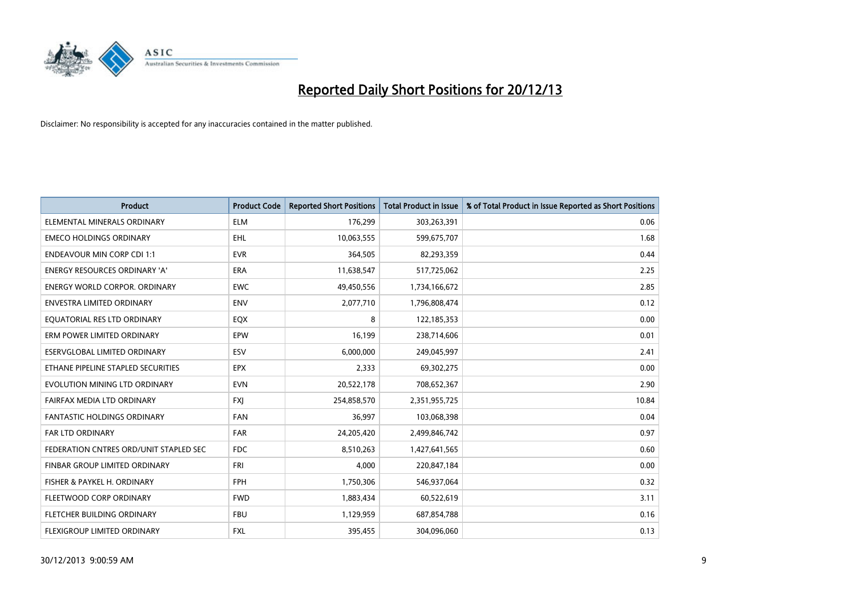

| <b>Product</b>                         | <b>Product Code</b> | <b>Reported Short Positions</b> | <b>Total Product in Issue</b> | % of Total Product in Issue Reported as Short Positions |
|----------------------------------------|---------------------|---------------------------------|-------------------------------|---------------------------------------------------------|
| ELEMENTAL MINERALS ORDINARY            | <b>ELM</b>          | 176,299                         | 303,263,391                   | 0.06                                                    |
| <b>EMECO HOLDINGS ORDINARY</b>         | <b>EHL</b>          | 10,063,555                      | 599,675,707                   | 1.68                                                    |
| <b>ENDEAVOUR MIN CORP CDI 1:1</b>      | <b>EVR</b>          | 364,505                         | 82,293,359                    | 0.44                                                    |
| ENERGY RESOURCES ORDINARY 'A'          | <b>ERA</b>          | 11,638,547                      | 517,725,062                   | 2.25                                                    |
| <b>ENERGY WORLD CORPOR, ORDINARY</b>   | <b>EWC</b>          | 49,450,556                      | 1,734,166,672                 | 2.85                                                    |
| <b>ENVESTRA LIMITED ORDINARY</b>       | <b>ENV</b>          | 2,077,710                       | 1,796,808,474                 | 0.12                                                    |
| EQUATORIAL RES LTD ORDINARY            | EQX                 | 8                               | 122,185,353                   | 0.00                                                    |
| ERM POWER LIMITED ORDINARY             | <b>EPW</b>          | 16,199                          | 238,714,606                   | 0.01                                                    |
| ESERVGLOBAL LIMITED ORDINARY           | ESV                 | 6,000,000                       | 249,045,997                   | 2.41                                                    |
| ETHANE PIPELINE STAPLED SECURITIES     | <b>EPX</b>          | 2,333                           | 69,302,275                    | 0.00                                                    |
| EVOLUTION MINING LTD ORDINARY          | <b>EVN</b>          | 20,522,178                      | 708,652,367                   | 2.90                                                    |
| FAIRFAX MEDIA LTD ORDINARY             | FXJ                 | 254,858,570                     | 2,351,955,725                 | 10.84                                                   |
| FANTASTIC HOLDINGS ORDINARY            | <b>FAN</b>          | 36,997                          | 103,068,398                   | 0.04                                                    |
| <b>FAR LTD ORDINARY</b>                | FAR                 | 24,205,420                      | 2,499,846,742                 | 0.97                                                    |
| FEDERATION CNTRES ORD/UNIT STAPLED SEC | <b>FDC</b>          | 8,510,263                       | 1,427,641,565                 | 0.60                                                    |
| FINBAR GROUP LIMITED ORDINARY          | <b>FRI</b>          | 4,000                           | 220,847,184                   | 0.00                                                    |
| FISHER & PAYKEL H. ORDINARY            | FPH                 | 1,750,306                       | 546,937,064                   | 0.32                                                    |
| FLEETWOOD CORP ORDINARY                | <b>FWD</b>          | 1,883,434                       | 60,522,619                    | 3.11                                                    |
| FLETCHER BUILDING ORDINARY             | <b>FBU</b>          | 1,129,959                       | 687,854,788                   | 0.16                                                    |
| FLEXIGROUP LIMITED ORDINARY            | FXL                 | 395,455                         | 304,096,060                   | 0.13                                                    |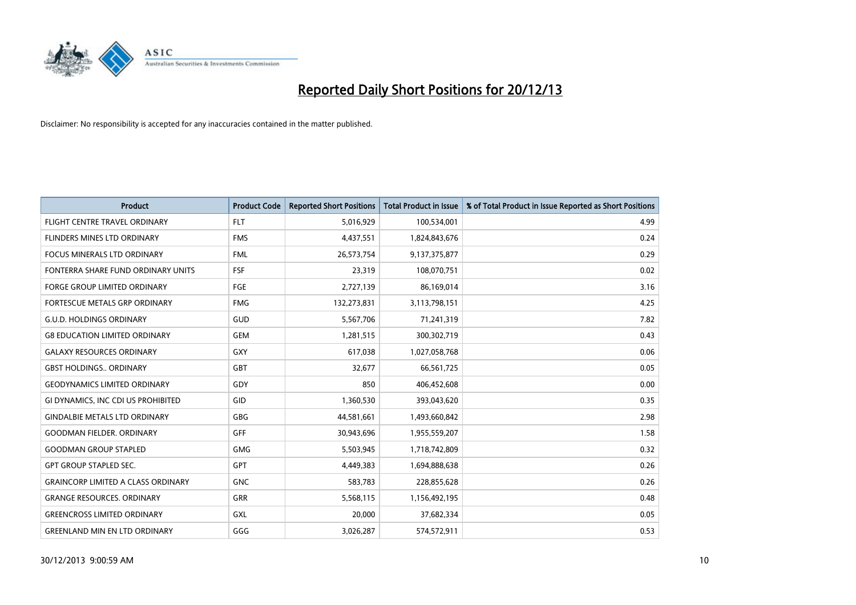

| <b>Product</b>                            | <b>Product Code</b> | <b>Reported Short Positions</b> | <b>Total Product in Issue</b> | % of Total Product in Issue Reported as Short Positions |
|-------------------------------------------|---------------------|---------------------------------|-------------------------------|---------------------------------------------------------|
| FLIGHT CENTRE TRAVEL ORDINARY             | <b>FLT</b>          | 5,016,929                       | 100,534,001                   | 4.99                                                    |
| FLINDERS MINES LTD ORDINARY               | <b>FMS</b>          | 4,437,551                       | 1,824,843,676                 | 0.24                                                    |
| <b>FOCUS MINERALS LTD ORDINARY</b>        | <b>FML</b>          | 26,573,754                      | 9,137,375,877                 | 0.29                                                    |
| FONTERRA SHARE FUND ORDINARY UNITS        | <b>FSF</b>          | 23,319                          | 108,070,751                   | 0.02                                                    |
| <b>FORGE GROUP LIMITED ORDINARY</b>       | <b>FGE</b>          | 2,727,139                       | 86,169,014                    | 3.16                                                    |
| FORTESCUE METALS GRP ORDINARY             | <b>FMG</b>          | 132,273,831                     | 3,113,798,151                 | 4.25                                                    |
| <b>G.U.D. HOLDINGS ORDINARY</b>           | <b>GUD</b>          | 5,567,706                       | 71,241,319                    | 7.82                                                    |
| <b>G8 EDUCATION LIMITED ORDINARY</b>      | <b>GEM</b>          | 1,281,515                       | 300,302,719                   | 0.43                                                    |
| <b>GALAXY RESOURCES ORDINARY</b>          | <b>GXY</b>          | 617,038                         | 1,027,058,768                 | 0.06                                                    |
| <b>GBST HOLDINGS., ORDINARY</b>           | <b>GBT</b>          | 32,677                          | 66,561,725                    | 0.05                                                    |
| <b>GEODYNAMICS LIMITED ORDINARY</b>       | GDY                 | 850                             | 406,452,608                   | 0.00                                                    |
| GI DYNAMICS, INC CDI US PROHIBITED        | <b>GID</b>          | 1,360,530                       | 393,043,620                   | 0.35                                                    |
| <b>GINDALBIE METALS LTD ORDINARY</b>      | GBG                 | 44,581,661                      | 1,493,660,842                 | 2.98                                                    |
| <b>GOODMAN FIELDER, ORDINARY</b>          | GFF                 | 30,943,696                      | 1,955,559,207                 | 1.58                                                    |
| <b>GOODMAN GROUP STAPLED</b>              | <b>GMG</b>          | 5,503,945                       | 1,718,742,809                 | 0.32                                                    |
| <b>GPT GROUP STAPLED SEC.</b>             | GPT                 | 4,449,383                       | 1,694,888,638                 | 0.26                                                    |
| <b>GRAINCORP LIMITED A CLASS ORDINARY</b> | <b>GNC</b>          | 583,783                         | 228,855,628                   | 0.26                                                    |
| <b>GRANGE RESOURCES. ORDINARY</b>         | <b>GRR</b>          | 5,568,115                       | 1,156,492,195                 | 0.48                                                    |
| <b>GREENCROSS LIMITED ORDINARY</b>        | <b>GXL</b>          | 20,000                          | 37,682,334                    | 0.05                                                    |
| <b>GREENLAND MIN EN LTD ORDINARY</b>      | GGG                 | 3,026,287                       | 574,572,911                   | 0.53                                                    |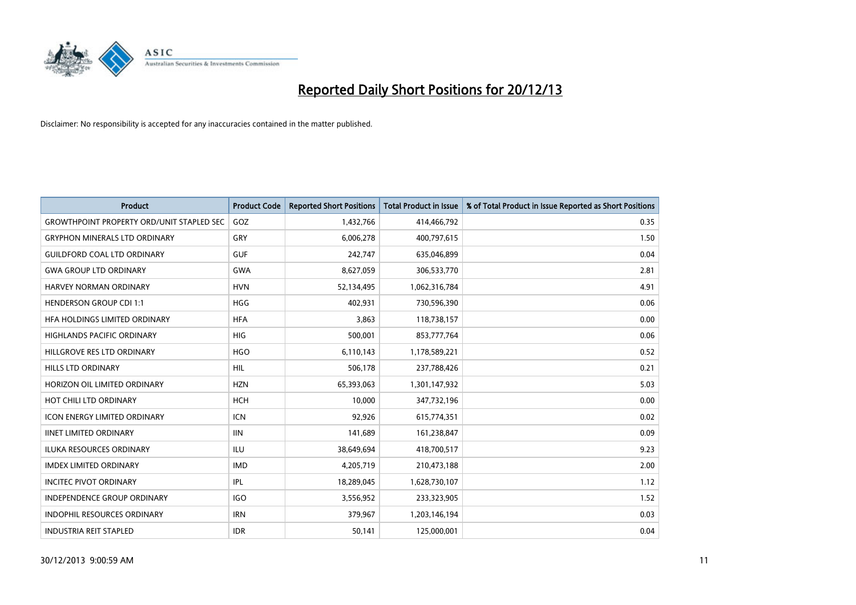

| <b>Product</b>                                   | <b>Product Code</b> | <b>Reported Short Positions</b> | <b>Total Product in Issue</b> | % of Total Product in Issue Reported as Short Positions |
|--------------------------------------------------|---------------------|---------------------------------|-------------------------------|---------------------------------------------------------|
| <b>GROWTHPOINT PROPERTY ORD/UNIT STAPLED SEC</b> | GOZ                 | 1,432,766                       | 414,466,792                   | 0.35                                                    |
| <b>GRYPHON MINERALS LTD ORDINARY</b>             | <b>GRY</b>          | 6,006,278                       | 400,797,615                   | 1.50                                                    |
| <b>GUILDFORD COAL LTD ORDINARY</b>               | <b>GUF</b>          | 242,747                         | 635,046,899                   | 0.04                                                    |
| <b>GWA GROUP LTD ORDINARY</b>                    | <b>GWA</b>          | 8,627,059                       | 306,533,770                   | 2.81                                                    |
| HARVEY NORMAN ORDINARY                           | <b>HVN</b>          | 52,134,495                      | 1,062,316,784                 | 4.91                                                    |
| <b>HENDERSON GROUP CDI 1:1</b>                   | <b>HGG</b>          | 402,931                         | 730,596,390                   | 0.06                                                    |
| HFA HOLDINGS LIMITED ORDINARY                    | <b>HFA</b>          | 3,863                           | 118,738,157                   | 0.00                                                    |
| HIGHLANDS PACIFIC ORDINARY                       | <b>HIG</b>          | 500,001                         | 853,777,764                   | 0.06                                                    |
| HILLGROVE RES LTD ORDINARY                       | <b>HGO</b>          | 6,110,143                       | 1,178,589,221                 | 0.52                                                    |
| <b>HILLS LTD ORDINARY</b>                        | <b>HIL</b>          | 506,178                         | 237,788,426                   | 0.21                                                    |
| HORIZON OIL LIMITED ORDINARY                     | <b>HZN</b>          | 65,393,063                      | 1,301,147,932                 | 5.03                                                    |
| HOT CHILI LTD ORDINARY                           | <b>HCH</b>          | 10,000                          | 347,732,196                   | 0.00                                                    |
| <b>ICON ENERGY LIMITED ORDINARY</b>              | <b>ICN</b>          | 92,926                          | 615,774,351                   | 0.02                                                    |
| <b>IINET LIMITED ORDINARY</b>                    | <b>IIN</b>          | 141,689                         | 161,238,847                   | 0.09                                                    |
| <b>ILUKA RESOURCES ORDINARY</b>                  | <b>ILU</b>          | 38,649,694                      | 418,700,517                   | 9.23                                                    |
| <b>IMDEX LIMITED ORDINARY</b>                    | <b>IMD</b>          | 4,205,719                       | 210,473,188                   | 2.00                                                    |
| <b>INCITEC PIVOT ORDINARY</b>                    | IPL                 | 18,289,045                      | 1,628,730,107                 | 1.12                                                    |
| <b>INDEPENDENCE GROUP ORDINARY</b>               | <b>IGO</b>          | 3,556,952                       | 233,323,905                   | 1.52                                                    |
| <b>INDOPHIL RESOURCES ORDINARY</b>               | <b>IRN</b>          | 379,967                         | 1,203,146,194                 | 0.03                                                    |
| <b>INDUSTRIA REIT STAPLED</b>                    | <b>IDR</b>          | 50,141                          | 125,000,001                   | 0.04                                                    |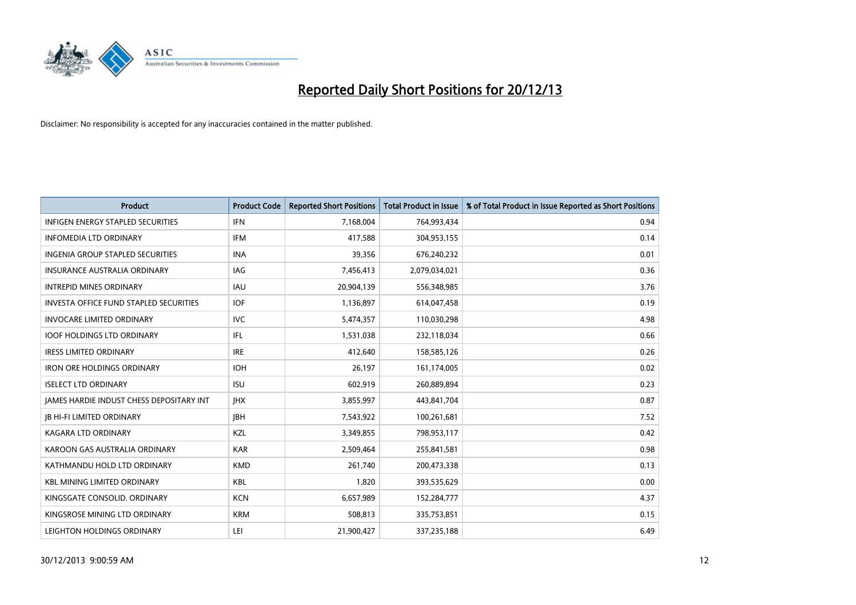

| <b>Product</b>                                | <b>Product Code</b> | <b>Reported Short Positions</b> | <b>Total Product in Issue</b> | % of Total Product in Issue Reported as Short Positions |
|-----------------------------------------------|---------------------|---------------------------------|-------------------------------|---------------------------------------------------------|
| <b>INFIGEN ENERGY STAPLED SECURITIES</b>      | <b>IFN</b>          | 7,168,004                       | 764,993,434                   | 0.94                                                    |
| <b>INFOMEDIA LTD ORDINARY</b>                 | <b>IFM</b>          | 417,588                         | 304,953,155                   | 0.14                                                    |
| INGENIA GROUP STAPLED SECURITIES              | <b>INA</b>          | 39,356                          | 676,240,232                   | 0.01                                                    |
| INSURANCE AUSTRALIA ORDINARY                  | IAG                 | 7,456,413                       | 2,079,034,021                 | 0.36                                                    |
| <b>INTREPID MINES ORDINARY</b>                | <b>IAU</b>          | 20,904,139                      | 556,348,985                   | 3.76                                                    |
| <b>INVESTA OFFICE FUND STAPLED SECURITIES</b> | <b>IOF</b>          | 1,136,897                       | 614,047,458                   | 0.19                                                    |
| <b>INVOCARE LIMITED ORDINARY</b>              | <b>IVC</b>          | 5,474,357                       | 110,030,298                   | 4.98                                                    |
| <b>IOOF HOLDINGS LTD ORDINARY</b>             | IFL                 | 1,531,038                       | 232,118,034                   | 0.66                                                    |
| <b>IRESS LIMITED ORDINARY</b>                 | <b>IRE</b>          | 412,640                         | 158,585,126                   | 0.26                                                    |
| <b>IRON ORE HOLDINGS ORDINARY</b>             | <b>IOH</b>          | 26,197                          | 161,174,005                   | 0.02                                                    |
| <b>ISELECT LTD ORDINARY</b>                   | <b>ISU</b>          | 602,919                         | 260,889,894                   | 0.23                                                    |
| JAMES HARDIE INDUST CHESS DEPOSITARY INT      | <b>IHX</b>          | 3,855,997                       | 443,841,704                   | 0.87                                                    |
| <b>JB HI-FI LIMITED ORDINARY</b>              | <b>IBH</b>          | 7,543,922                       | 100,261,681                   | 7.52                                                    |
| <b>KAGARA LTD ORDINARY</b>                    | KZL                 | 3,349,855                       | 798,953,117                   | 0.42                                                    |
| KAROON GAS AUSTRALIA ORDINARY                 | <b>KAR</b>          | 2,509,464                       | 255,841,581                   | 0.98                                                    |
| KATHMANDU HOLD LTD ORDINARY                   | <b>KMD</b>          | 261,740                         | 200,473,338                   | 0.13                                                    |
| <b>KBL MINING LIMITED ORDINARY</b>            | <b>KBL</b>          | 1,820                           | 393,535,629                   | 0.00                                                    |
| KINGSGATE CONSOLID. ORDINARY                  | <b>KCN</b>          | 6,657,989                       | 152,284,777                   | 4.37                                                    |
| KINGSROSE MINING LTD ORDINARY                 | <b>KRM</b>          | 508,813                         | 335,753,851                   | 0.15                                                    |
| LEIGHTON HOLDINGS ORDINARY                    | LEI                 | 21,900,427                      | 337,235,188                   | 6.49                                                    |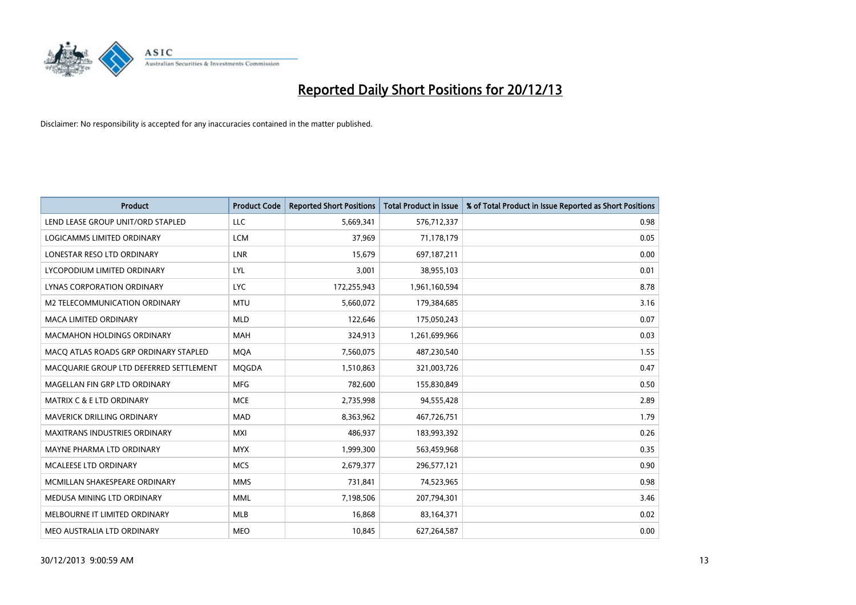

| <b>Product</b>                          | <b>Product Code</b> | <b>Reported Short Positions</b> | <b>Total Product in Issue</b> | % of Total Product in Issue Reported as Short Positions |
|-----------------------------------------|---------------------|---------------------------------|-------------------------------|---------------------------------------------------------|
| LEND LEASE GROUP UNIT/ORD STAPLED       | <b>LLC</b>          | 5,669,341                       | 576,712,337                   | 0.98                                                    |
| LOGICAMMS LIMITED ORDINARY              | <b>LCM</b>          | 37,969                          | 71,178,179                    | 0.05                                                    |
| LONESTAR RESO LTD ORDINARY              | <b>LNR</b>          | 15,679                          | 697,187,211                   | 0.00                                                    |
| LYCOPODIUM LIMITED ORDINARY             | <b>LYL</b>          | 3,001                           | 38,955,103                    | 0.01                                                    |
| LYNAS CORPORATION ORDINARY              | <b>LYC</b>          | 172,255,943                     | 1,961,160,594                 | 8.78                                                    |
| M2 TELECOMMUNICATION ORDINARY           | <b>MTU</b>          | 5,660,072                       | 179,384,685                   | 3.16                                                    |
| <b>MACA LIMITED ORDINARY</b>            | <b>MLD</b>          | 122,646                         | 175,050,243                   | 0.07                                                    |
| MACMAHON HOLDINGS ORDINARY              | MAH                 | 324,913                         | 1,261,699,966                 | 0.03                                                    |
| MACO ATLAS ROADS GRP ORDINARY STAPLED   | <b>MOA</b>          | 7,560,075                       | 487,230,540                   | 1.55                                                    |
| MACQUARIE GROUP LTD DEFERRED SETTLEMENT | MQGDA               | 1,510,863                       | 321,003,726                   | 0.47                                                    |
| MAGELLAN FIN GRP LTD ORDINARY           | <b>MFG</b>          | 782,600                         | 155,830,849                   | 0.50                                                    |
| <b>MATRIX C &amp; E LTD ORDINARY</b>    | <b>MCE</b>          | 2,735,998                       | 94,555,428                    | 2.89                                                    |
| MAVERICK DRILLING ORDINARY              | <b>MAD</b>          | 8,363,962                       | 467,726,751                   | 1.79                                                    |
| <b>MAXITRANS INDUSTRIES ORDINARY</b>    | <b>MXI</b>          | 486,937                         | 183,993,392                   | 0.26                                                    |
| MAYNE PHARMA LTD ORDINARY               | <b>MYX</b>          | 1,999,300                       | 563,459,968                   | 0.35                                                    |
| MCALEESE LTD ORDINARY                   | <b>MCS</b>          | 2,679,377                       | 296,577,121                   | 0.90                                                    |
| MCMILLAN SHAKESPEARE ORDINARY           | <b>MMS</b>          | 731,841                         | 74,523,965                    | 0.98                                                    |
| MEDUSA MINING LTD ORDINARY              | <b>MML</b>          | 7,198,506                       | 207,794,301                   | 3.46                                                    |
| MELBOURNE IT LIMITED ORDINARY           | MLB                 | 16,868                          | 83,164,371                    | 0.02                                                    |
| MEO AUSTRALIA LTD ORDINARY              | <b>MEO</b>          | 10,845                          | 627,264,587                   | 0.00                                                    |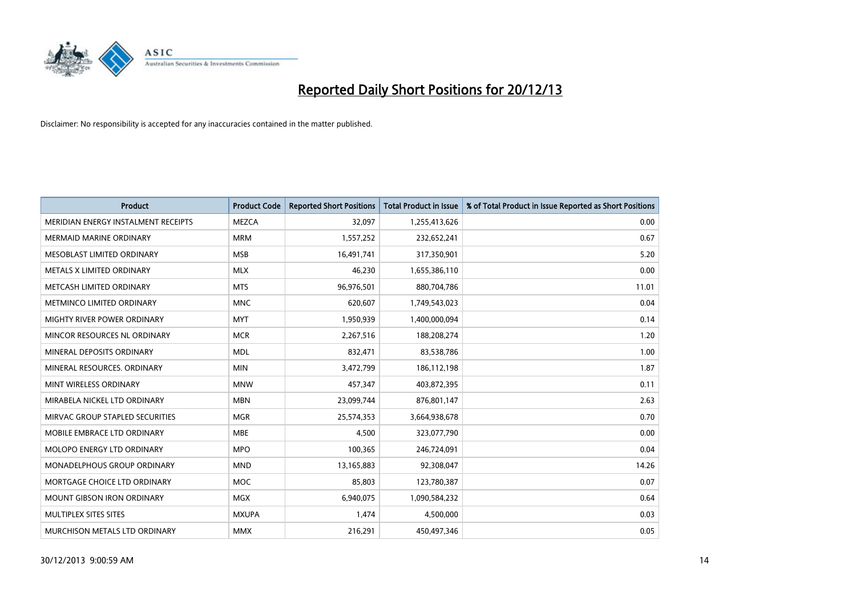

| <b>Product</b>                      | <b>Product Code</b> | <b>Reported Short Positions</b> | <b>Total Product in Issue</b> | % of Total Product in Issue Reported as Short Positions |
|-------------------------------------|---------------------|---------------------------------|-------------------------------|---------------------------------------------------------|
| MERIDIAN ENERGY INSTALMENT RECEIPTS | <b>MEZCA</b>        | 32,097                          | 1,255,413,626                 | 0.00                                                    |
| MERMAID MARINE ORDINARY             | <b>MRM</b>          | 1,557,252                       | 232,652,241                   | 0.67                                                    |
| MESOBLAST LIMITED ORDINARY          | <b>MSB</b>          | 16,491,741                      | 317,350,901                   | 5.20                                                    |
| METALS X LIMITED ORDINARY           | <b>MLX</b>          | 46,230                          | 1,655,386,110                 | 0.00                                                    |
| METCASH LIMITED ORDINARY            | <b>MTS</b>          | 96,976,501                      | 880,704,786                   | 11.01                                                   |
| METMINCO LIMITED ORDINARY           | <b>MNC</b>          | 620,607                         | 1,749,543,023                 | 0.04                                                    |
| <b>MIGHTY RIVER POWER ORDINARY</b>  | <b>MYT</b>          | 1,950,939                       | 1,400,000,094                 | 0.14                                                    |
| MINCOR RESOURCES NL ORDINARY        | <b>MCR</b>          | 2,267,516                       | 188,208,274                   | 1.20                                                    |
| MINERAL DEPOSITS ORDINARY           | <b>MDL</b>          | 832,471                         | 83,538,786                    | 1.00                                                    |
| MINERAL RESOURCES, ORDINARY         | <b>MIN</b>          | 3,472,799                       | 186,112,198                   | 1.87                                                    |
| MINT WIRELESS ORDINARY              | <b>MNW</b>          | 457,347                         | 403,872,395                   | 0.11                                                    |
| MIRABELA NICKEL LTD ORDINARY        | <b>MBN</b>          | 23,099,744                      | 876,801,147                   | 2.63                                                    |
| MIRVAC GROUP STAPLED SECURITIES     | <b>MGR</b>          | 25,574,353                      | 3,664,938,678                 | 0.70                                                    |
| MOBILE EMBRACE LTD ORDINARY         | <b>MBE</b>          | 4,500                           | 323,077,790                   | 0.00                                                    |
| MOLOPO ENERGY LTD ORDINARY          | <b>MPO</b>          | 100,365                         | 246,724,091                   | 0.04                                                    |
| MONADELPHOUS GROUP ORDINARY         | <b>MND</b>          | 13,165,883                      | 92,308,047                    | 14.26                                                   |
| MORTGAGE CHOICE LTD ORDINARY        | MOC                 | 85,803                          | 123,780,387                   | 0.07                                                    |
| <b>MOUNT GIBSON IRON ORDINARY</b>   | <b>MGX</b>          | 6,940,075                       | 1,090,584,232                 | 0.64                                                    |
| MULTIPLEX SITES SITES               | <b>MXUPA</b>        | 1,474                           | 4,500,000                     | 0.03                                                    |
| MURCHISON METALS LTD ORDINARY       | <b>MMX</b>          | 216,291                         | 450,497,346                   | 0.05                                                    |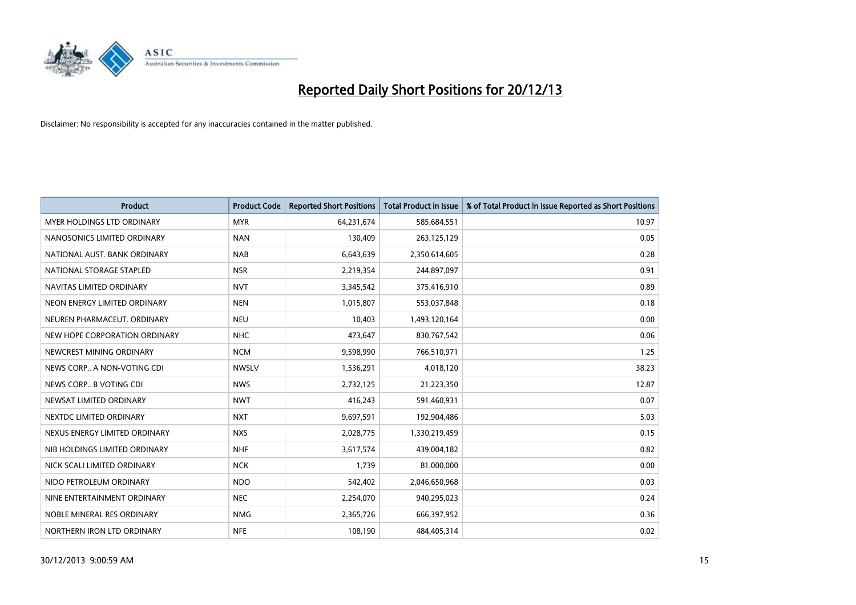

| <b>Product</b>                    | <b>Product Code</b> | <b>Reported Short Positions</b> | <b>Total Product in Issue</b> | % of Total Product in Issue Reported as Short Positions |
|-----------------------------------|---------------------|---------------------------------|-------------------------------|---------------------------------------------------------|
| <b>MYER HOLDINGS LTD ORDINARY</b> | <b>MYR</b>          | 64,231,674                      | 585,684,551                   | 10.97                                                   |
| NANOSONICS LIMITED ORDINARY       | <b>NAN</b>          | 130,409                         | 263,125,129                   | 0.05                                                    |
| NATIONAL AUST. BANK ORDINARY      | <b>NAB</b>          | 6,643,639                       | 2,350,614,605                 | 0.28                                                    |
| NATIONAL STORAGE STAPLED          | <b>NSR</b>          | 2,219,354                       | 244,897,097                   | 0.91                                                    |
| NAVITAS LIMITED ORDINARY          | <b>NVT</b>          | 3,345,542                       | 375,416,910                   | 0.89                                                    |
| NEON ENERGY LIMITED ORDINARY      | <b>NEN</b>          | 1,015,807                       | 553,037,848                   | 0.18                                                    |
| NEUREN PHARMACEUT, ORDINARY       | <b>NEU</b>          | 10,403                          | 1,493,120,164                 | 0.00                                                    |
| NEW HOPE CORPORATION ORDINARY     | <b>NHC</b>          | 473,647                         | 830,767,542                   | 0.06                                                    |
| NEWCREST MINING ORDINARY          | <b>NCM</b>          | 9,598,990                       | 766,510,971                   | 1.25                                                    |
| NEWS CORP A NON-VOTING CDI        | <b>NWSLV</b>        | 1,536,291                       | 4,018,120                     | 38.23                                                   |
| NEWS CORP B VOTING CDI            | <b>NWS</b>          | 2,732,125                       | 21,223,350                    | 12.87                                                   |
| NEWSAT LIMITED ORDINARY           | <b>NWT</b>          | 416,243                         | 591,460,931                   | 0.07                                                    |
| NEXTDC LIMITED ORDINARY           | <b>NXT</b>          | 9,697,591                       | 192,904,486                   | 5.03                                                    |
| NEXUS ENERGY LIMITED ORDINARY     | <b>NXS</b>          | 2,028,775                       | 1,330,219,459                 | 0.15                                                    |
| NIB HOLDINGS LIMITED ORDINARY     | <b>NHF</b>          | 3,617,574                       | 439,004,182                   | 0.82                                                    |
| NICK SCALI LIMITED ORDINARY       | <b>NCK</b>          | 1,739                           | 81,000,000                    | 0.00                                                    |
| NIDO PETROLEUM ORDINARY           | <b>NDO</b>          | 542,402                         | 2,046,650,968                 | 0.03                                                    |
| NINE ENTERTAINMENT ORDINARY       | <b>NEC</b>          | 2,254,070                       | 940,295,023                   | 0.24                                                    |
| NOBLE MINERAL RES ORDINARY        | <b>NMG</b>          | 2,365,726                       | 666,397,952                   | 0.36                                                    |
| NORTHERN IRON LTD ORDINARY        | <b>NFE</b>          | 108,190                         | 484,405,314                   | 0.02                                                    |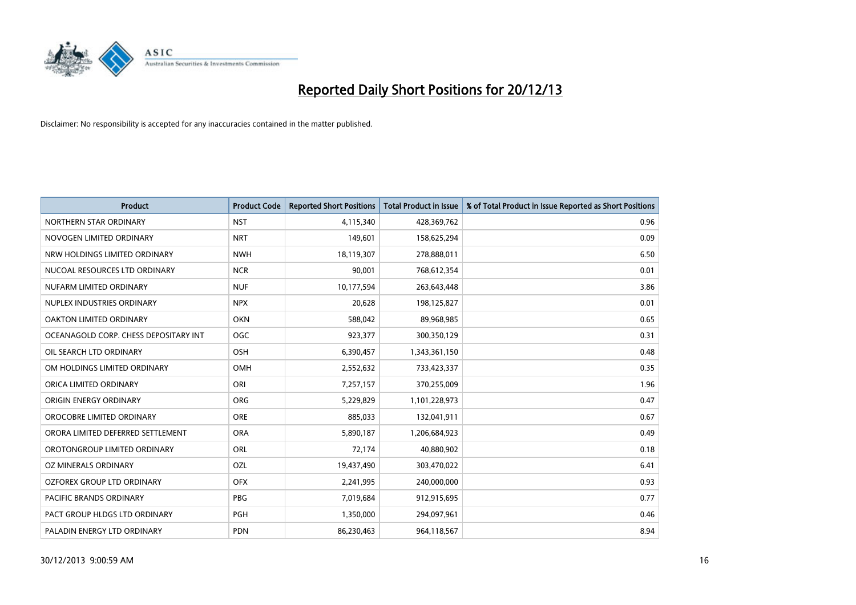

| <b>Product</b>                        | <b>Product Code</b> | <b>Reported Short Positions</b> | <b>Total Product in Issue</b> | % of Total Product in Issue Reported as Short Positions |
|---------------------------------------|---------------------|---------------------------------|-------------------------------|---------------------------------------------------------|
| NORTHERN STAR ORDINARY                | <b>NST</b>          | 4,115,340                       | 428,369,762                   | 0.96                                                    |
| NOVOGEN LIMITED ORDINARY              | <b>NRT</b>          | 149,601                         | 158,625,294                   | 0.09                                                    |
| NRW HOLDINGS LIMITED ORDINARY         | <b>NWH</b>          | 18,119,307                      | 278,888,011                   | 6.50                                                    |
| NUCOAL RESOURCES LTD ORDINARY         | <b>NCR</b>          | 90,001                          | 768,612,354                   | 0.01                                                    |
| NUFARM LIMITED ORDINARY               | <b>NUF</b>          | 10,177,594                      | 263,643,448                   | 3.86                                                    |
| NUPLEX INDUSTRIES ORDINARY            | <b>NPX</b>          | 20,628                          | 198,125,827                   | 0.01                                                    |
| OAKTON LIMITED ORDINARY               | <b>OKN</b>          | 588,042                         | 89,968,985                    | 0.65                                                    |
| OCEANAGOLD CORP. CHESS DEPOSITARY INT | <b>OGC</b>          | 923,377                         | 300,350,129                   | 0.31                                                    |
| OIL SEARCH LTD ORDINARY               | OSH                 | 6,390,457                       | 1,343,361,150                 | 0.48                                                    |
| OM HOLDINGS LIMITED ORDINARY          | <b>OMH</b>          | 2,552,632                       | 733,423,337                   | 0.35                                                    |
| ORICA LIMITED ORDINARY                | ORI                 | 7,257,157                       | 370,255,009                   | 1.96                                                    |
| ORIGIN ENERGY ORDINARY                | <b>ORG</b>          | 5,229,829                       | 1,101,228,973                 | 0.47                                                    |
| OROCOBRE LIMITED ORDINARY             | <b>ORE</b>          | 885,033                         | 132,041,911                   | 0.67                                                    |
| ORORA LIMITED DEFERRED SETTLEMENT     | <b>ORA</b>          | 5,890,187                       | 1,206,684,923                 | 0.49                                                    |
| OROTONGROUP LIMITED ORDINARY          | ORL                 | 72,174                          | 40,880,902                    | 0.18                                                    |
| OZ MINERALS ORDINARY                  | OZL                 | 19,437,490                      | 303,470,022                   | 6.41                                                    |
| OZFOREX GROUP LTD ORDINARY            | <b>OFX</b>          | 2,241,995                       | 240,000,000                   | 0.93                                                    |
| <b>PACIFIC BRANDS ORDINARY</b>        | <b>PBG</b>          | 7,019,684                       | 912,915,695                   | 0.77                                                    |
| PACT GROUP HLDGS LTD ORDINARY         | <b>PGH</b>          | 1,350,000                       | 294,097,961                   | 0.46                                                    |
| PALADIN ENERGY LTD ORDINARY           | <b>PDN</b>          | 86,230,463                      | 964,118,567                   | 8.94                                                    |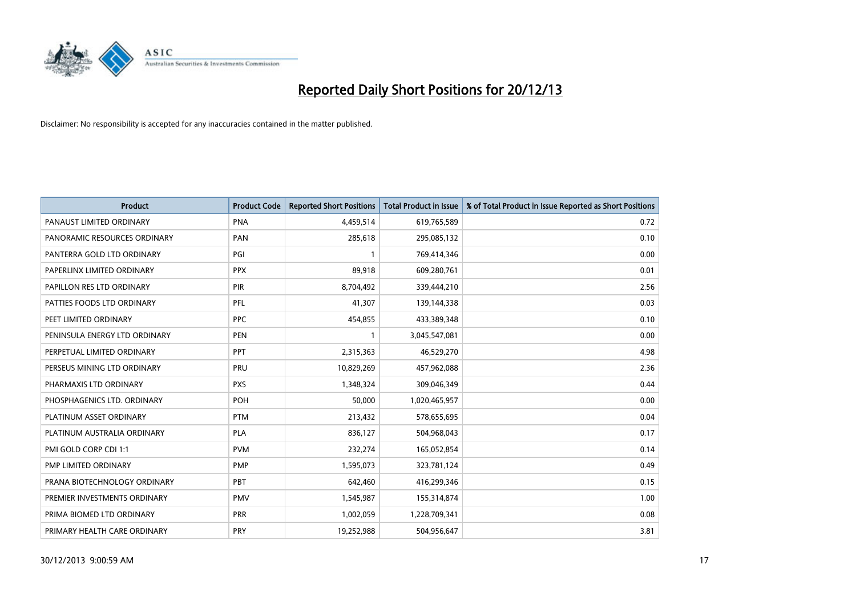

| Product                       | <b>Product Code</b> | <b>Reported Short Positions</b> | <b>Total Product in Issue</b> | % of Total Product in Issue Reported as Short Positions |
|-------------------------------|---------------------|---------------------------------|-------------------------------|---------------------------------------------------------|
| PANAUST LIMITED ORDINARY      | <b>PNA</b>          | 4,459,514                       | 619,765,589                   | 0.72                                                    |
| PANORAMIC RESOURCES ORDINARY  | <b>PAN</b>          | 285,618                         | 295,085,132                   | 0.10                                                    |
| PANTERRA GOLD LTD ORDINARY    | PGI                 | 1                               | 769,414,346                   | 0.00                                                    |
| PAPERLINX LIMITED ORDINARY    | <b>PPX</b>          | 89,918                          | 609,280,761                   | 0.01                                                    |
| PAPILLON RES LTD ORDINARY     | PIR                 | 8,704,492                       | 339,444,210                   | 2.56                                                    |
| PATTIES FOODS LTD ORDINARY    | PFL                 | 41,307                          | 139,144,338                   | 0.03                                                    |
| PEET LIMITED ORDINARY         | <b>PPC</b>          | 454,855                         | 433,389,348                   | 0.10                                                    |
| PENINSULA ENERGY LTD ORDINARY | <b>PEN</b>          | $\mathbf{1}$                    | 3,045,547,081                 | 0.00                                                    |
| PERPETUAL LIMITED ORDINARY    | PPT                 | 2,315,363                       | 46,529,270                    | 4.98                                                    |
| PERSEUS MINING LTD ORDINARY   | PRU                 | 10,829,269                      | 457,962,088                   | 2.36                                                    |
| PHARMAXIS LTD ORDINARY        | <b>PXS</b>          | 1,348,324                       | 309,046,349                   | 0.44                                                    |
| PHOSPHAGENICS LTD. ORDINARY   | POH                 | 50,000                          | 1,020,465,957                 | 0.00                                                    |
| PLATINUM ASSET ORDINARY       | <b>PTM</b>          | 213,432                         | 578,655,695                   | 0.04                                                    |
| PLATINUM AUSTRALIA ORDINARY   | PLA                 | 836,127                         | 504,968,043                   | 0.17                                                    |
| PMI GOLD CORP CDI 1:1         | <b>PVM</b>          | 232,274                         | 165,052,854                   | 0.14                                                    |
| PMP LIMITED ORDINARY          | <b>PMP</b>          | 1,595,073                       | 323,781,124                   | 0.49                                                    |
| PRANA BIOTECHNOLOGY ORDINARY  | PBT                 | 642,460                         | 416,299,346                   | 0.15                                                    |
| PREMIER INVESTMENTS ORDINARY  | <b>PMV</b>          | 1,545,987                       | 155,314,874                   | 1.00                                                    |
| PRIMA BIOMED LTD ORDINARY     | <b>PRR</b>          | 1,002,059                       | 1,228,709,341                 | 0.08                                                    |
| PRIMARY HEALTH CARE ORDINARY  | <b>PRY</b>          | 19,252,988                      | 504,956,647                   | 3.81                                                    |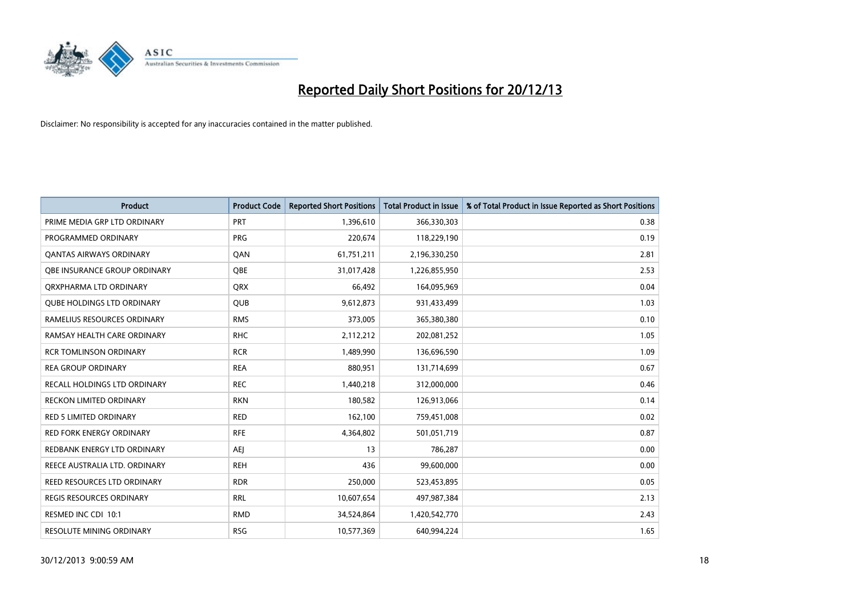

| <b>Product</b>                    | <b>Product Code</b> | <b>Reported Short Positions</b> | <b>Total Product in Issue</b> | % of Total Product in Issue Reported as Short Positions |
|-----------------------------------|---------------------|---------------------------------|-------------------------------|---------------------------------------------------------|
| PRIME MEDIA GRP LTD ORDINARY      | <b>PRT</b>          | 1,396,610                       | 366,330,303                   | 0.38                                                    |
| PROGRAMMED ORDINARY               | <b>PRG</b>          | 220,674                         | 118,229,190                   | 0.19                                                    |
| OANTAS AIRWAYS ORDINARY           | QAN                 | 61,751,211                      | 2,196,330,250                 | 2.81                                                    |
| OBE INSURANCE GROUP ORDINARY      | <b>OBE</b>          | 31,017,428                      | 1,226,855,950                 | 2.53                                                    |
| ORXPHARMA LTD ORDINARY            | <b>QRX</b>          | 66,492                          | 164,095,969                   | 0.04                                                    |
| <b>QUBE HOLDINGS LTD ORDINARY</b> | <b>QUB</b>          | 9,612,873                       | 931,433,499                   | 1.03                                                    |
| RAMELIUS RESOURCES ORDINARY       | <b>RMS</b>          | 373,005                         | 365,380,380                   | 0.10                                                    |
| RAMSAY HEALTH CARE ORDINARY       | <b>RHC</b>          | 2,112,212                       | 202,081,252                   | 1.05                                                    |
| <b>RCR TOMLINSON ORDINARY</b>     | <b>RCR</b>          | 1,489,990                       | 136,696,590                   | 1.09                                                    |
| <b>REA GROUP ORDINARY</b>         | <b>REA</b>          | 880,951                         | 131,714,699                   | 0.67                                                    |
| RECALL HOLDINGS LTD ORDINARY      | <b>REC</b>          | 1,440,218                       | 312,000,000                   | 0.46                                                    |
| <b>RECKON LIMITED ORDINARY</b>    | <b>RKN</b>          | 180,582                         | 126,913,066                   | 0.14                                                    |
| <b>RED 5 LIMITED ORDINARY</b>     | <b>RED</b>          | 162,100                         | 759,451,008                   | 0.02                                                    |
| <b>RED FORK ENERGY ORDINARY</b>   | <b>RFE</b>          | 4,364,802                       | 501,051,719                   | 0.87                                                    |
| REDBANK ENERGY LTD ORDINARY       | <b>AEJ</b>          | 13                              | 786,287                       | 0.00                                                    |
| REECE AUSTRALIA LTD. ORDINARY     | <b>REH</b>          | 436                             | 99,600,000                    | 0.00                                                    |
| REED RESOURCES LTD ORDINARY       | <b>RDR</b>          | 250,000                         | 523,453,895                   | 0.05                                                    |
| REGIS RESOURCES ORDINARY          | <b>RRL</b>          | 10,607,654                      | 497,987,384                   | 2.13                                                    |
| RESMED INC CDI 10:1               | <b>RMD</b>          | 34,524,864                      | 1,420,542,770                 | 2.43                                                    |
| <b>RESOLUTE MINING ORDINARY</b>   | <b>RSG</b>          | 10,577,369                      | 640,994,224                   | 1.65                                                    |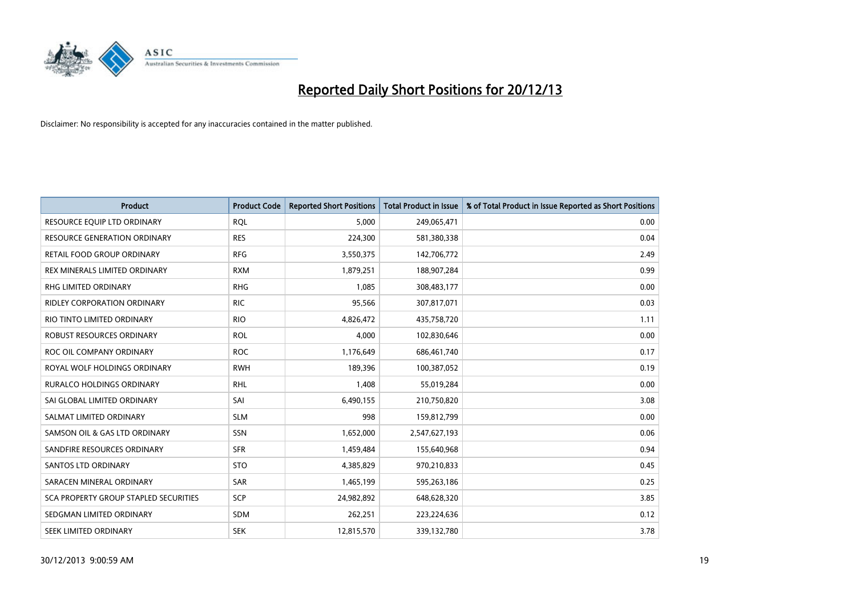

| <b>Product</b>                               | <b>Product Code</b> | <b>Reported Short Positions</b> | <b>Total Product in Issue</b> | % of Total Product in Issue Reported as Short Positions |
|----------------------------------------------|---------------------|---------------------------------|-------------------------------|---------------------------------------------------------|
| RESOURCE EQUIP LTD ORDINARY                  | <b>RQL</b>          | 5,000                           | 249,065,471                   | 0.00                                                    |
| <b>RESOURCE GENERATION ORDINARY</b>          | <b>RES</b>          | 224,300                         | 581,380,338                   | 0.04                                                    |
| RETAIL FOOD GROUP ORDINARY                   | <b>RFG</b>          | 3,550,375                       | 142,706,772                   | 2.49                                                    |
| REX MINERALS LIMITED ORDINARY                | <b>RXM</b>          | 1,879,251                       | 188,907,284                   | 0.99                                                    |
| <b>RHG LIMITED ORDINARY</b>                  | <b>RHG</b>          | 1,085                           | 308,483,177                   | 0.00                                                    |
| <b>RIDLEY CORPORATION ORDINARY</b>           | <b>RIC</b>          | 95,566                          | 307,817,071                   | 0.03                                                    |
| RIO TINTO LIMITED ORDINARY                   | <b>RIO</b>          | 4,826,472                       | 435,758,720                   | 1.11                                                    |
| ROBUST RESOURCES ORDINARY                    | <b>ROL</b>          | 4,000                           | 102,830,646                   | 0.00                                                    |
| ROC OIL COMPANY ORDINARY                     | <b>ROC</b>          | 1,176,649                       | 686,461,740                   | 0.17                                                    |
| ROYAL WOLF HOLDINGS ORDINARY                 | <b>RWH</b>          | 189,396                         | 100,387,052                   | 0.19                                                    |
| RURALCO HOLDINGS ORDINARY                    | <b>RHL</b>          | 1,408                           | 55,019,284                    | 0.00                                                    |
| SAI GLOBAL LIMITED ORDINARY                  | SAI                 | 6,490,155                       | 210,750,820                   | 3.08                                                    |
| SALMAT LIMITED ORDINARY                      | <b>SLM</b>          | 998                             | 159,812,799                   | 0.00                                                    |
| SAMSON OIL & GAS LTD ORDINARY                | <b>SSN</b>          | 1,652,000                       | 2,547,627,193                 | 0.06                                                    |
| SANDFIRE RESOURCES ORDINARY                  | <b>SFR</b>          | 1,459,484                       | 155,640,968                   | 0.94                                                    |
| SANTOS LTD ORDINARY                          | <b>STO</b>          | 4,385,829                       | 970,210,833                   | 0.45                                                    |
| SARACEN MINERAL ORDINARY                     | SAR                 | 1,465,199                       | 595,263,186                   | 0.25                                                    |
| <b>SCA PROPERTY GROUP STAPLED SECURITIES</b> | SCP                 | 24,982,892                      | 648,628,320                   | 3.85                                                    |
| SEDGMAN LIMITED ORDINARY                     | <b>SDM</b>          | 262,251                         | 223,224,636                   | 0.12                                                    |
| SEEK LIMITED ORDINARY                        | <b>SEK</b>          | 12,815,570                      | 339,132,780                   | 3.78                                                    |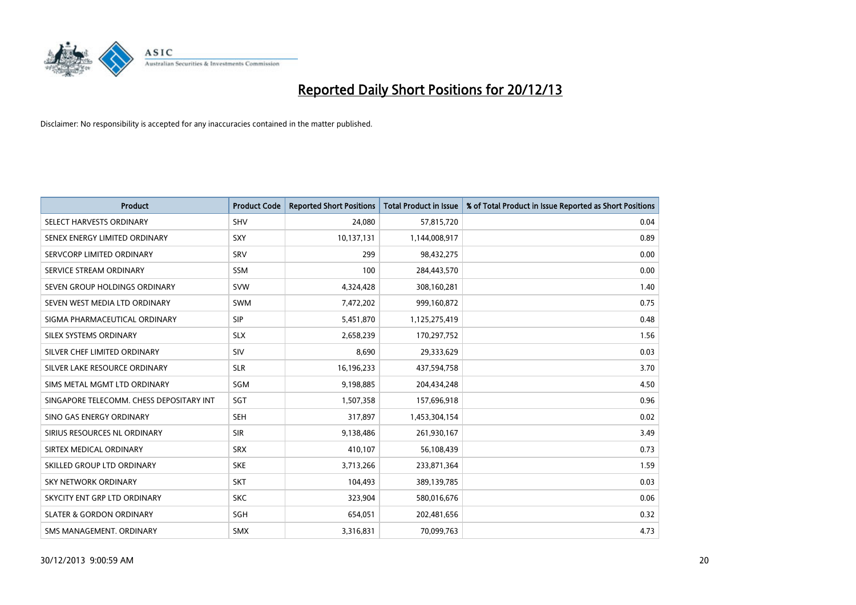

| <b>Product</b>                           | <b>Product Code</b> | <b>Reported Short Positions</b> | <b>Total Product in Issue</b> | % of Total Product in Issue Reported as Short Positions |
|------------------------------------------|---------------------|---------------------------------|-------------------------------|---------------------------------------------------------|
| SELECT HARVESTS ORDINARY                 | <b>SHV</b>          | 24,080                          | 57,815,720                    | 0.04                                                    |
| SENEX ENERGY LIMITED ORDINARY            | <b>SXY</b>          | 10,137,131                      | 1,144,008,917                 | 0.89                                                    |
| SERVCORP LIMITED ORDINARY                | SRV                 | 299                             | 98,432,275                    | 0.00                                                    |
| SERVICE STREAM ORDINARY                  | SSM                 | 100                             | 284,443,570                   | 0.00                                                    |
| SEVEN GROUP HOLDINGS ORDINARY            | <b>SVW</b>          | 4,324,428                       | 308,160,281                   | 1.40                                                    |
| SEVEN WEST MEDIA LTD ORDINARY            | <b>SWM</b>          | 7,472,202                       | 999,160,872                   | 0.75                                                    |
| SIGMA PHARMACEUTICAL ORDINARY            | <b>SIP</b>          | 5,451,870                       | 1,125,275,419                 | 0.48                                                    |
| SILEX SYSTEMS ORDINARY                   | <b>SLX</b>          | 2,658,239                       | 170,297,752                   | 1.56                                                    |
| SILVER CHEF LIMITED ORDINARY             | SIV                 | 8,690                           | 29,333,629                    | 0.03                                                    |
| SILVER LAKE RESOURCE ORDINARY            | <b>SLR</b>          | 16,196,233                      | 437,594,758                   | 3.70                                                    |
| SIMS METAL MGMT LTD ORDINARY             | SGM                 | 9,198,885                       | 204,434,248                   | 4.50                                                    |
| SINGAPORE TELECOMM. CHESS DEPOSITARY INT | SGT                 | 1,507,358                       | 157,696,918                   | 0.96                                                    |
| SINO GAS ENERGY ORDINARY                 | SEH                 | 317,897                         | 1,453,304,154                 | 0.02                                                    |
| SIRIUS RESOURCES NL ORDINARY             | <b>SIR</b>          | 9,138,486                       | 261,930,167                   | 3.49                                                    |
| SIRTEX MEDICAL ORDINARY                  | <b>SRX</b>          | 410,107                         | 56,108,439                    | 0.73                                                    |
| SKILLED GROUP LTD ORDINARY               | <b>SKE</b>          | 3,713,266                       | 233,871,364                   | 1.59                                                    |
| <b>SKY NETWORK ORDINARY</b>              | <b>SKT</b>          | 104,493                         | 389,139,785                   | 0.03                                                    |
| SKYCITY ENT GRP LTD ORDINARY             | <b>SKC</b>          | 323,904                         | 580,016,676                   | 0.06                                                    |
| <b>SLATER &amp; GORDON ORDINARY</b>      | SGH                 | 654,051                         | 202,481,656                   | 0.32                                                    |
| SMS MANAGEMENT, ORDINARY                 | <b>SMX</b>          | 3,316,831                       | 70,099,763                    | 4.73                                                    |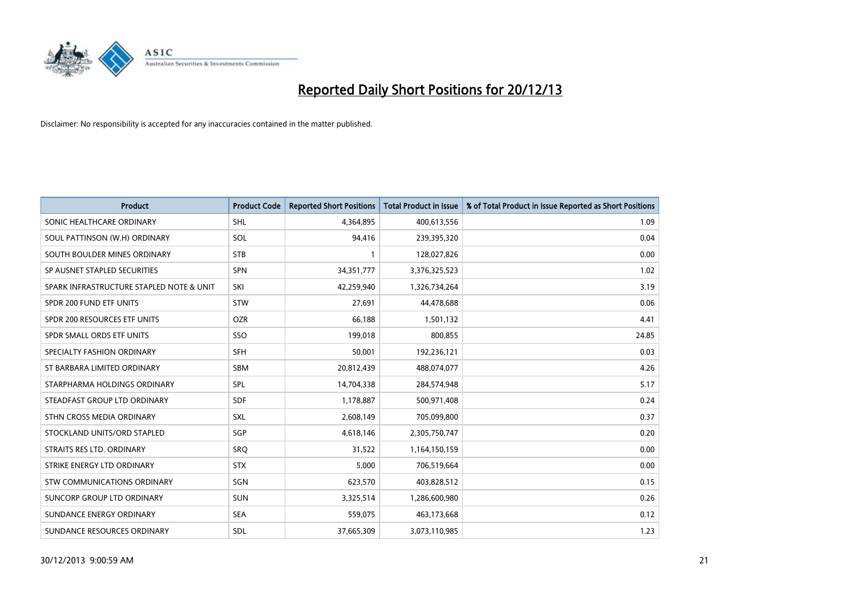

| <b>Product</b>                           | <b>Product Code</b> | <b>Reported Short Positions</b> | <b>Total Product in Issue</b> | % of Total Product in Issue Reported as Short Positions |
|------------------------------------------|---------------------|---------------------------------|-------------------------------|---------------------------------------------------------|
| SONIC HEALTHCARE ORDINARY                | <b>SHL</b>          | 4,364,895                       | 400,613,556                   | 1.09                                                    |
| SOUL PATTINSON (W.H) ORDINARY            | SOL                 | 94,416                          | 239,395,320                   | 0.04                                                    |
| SOUTH BOULDER MINES ORDINARY             | <b>STB</b>          | 1                               | 128,027,826                   | 0.00                                                    |
| SP AUSNET STAPLED SECURITIES             | <b>SPN</b>          | 34, 351, 777                    | 3,376,325,523                 | 1.02                                                    |
| SPARK INFRASTRUCTURE STAPLED NOTE & UNIT | SKI                 | 42,259,940                      | 1,326,734,264                 | 3.19                                                    |
| SPDR 200 FUND ETF UNITS                  | <b>STW</b>          | 27,691                          | 44,478,688                    | 0.06                                                    |
| SPDR 200 RESOURCES ETF UNITS             | <b>OZR</b>          | 66,188                          | 1,501,132                     | 4.41                                                    |
| SPDR SMALL ORDS ETF UNITS                | SSO                 | 199,018                         | 800,855                       | 24.85                                                   |
| SPECIALTY FASHION ORDINARY               | <b>SFH</b>          | 50,001                          | 192,236,121                   | 0.03                                                    |
| ST BARBARA LIMITED ORDINARY              | <b>SBM</b>          | 20,812,439                      | 488,074,077                   | 4.26                                                    |
| STARPHARMA HOLDINGS ORDINARY             | <b>SPL</b>          | 14,704,338                      | 284,574,948                   | 5.17                                                    |
| STEADFAST GROUP LTD ORDINARY             | SDF                 | 1,178,887                       | 500,971,408                   | 0.24                                                    |
| STHN CROSS MEDIA ORDINARY                | <b>SXL</b>          | 2,608,149                       | 705,099,800                   | 0.37                                                    |
| STOCKLAND UNITS/ORD STAPLED              | SGP                 | 4,618,146                       | 2,305,750,747                 | 0.20                                                    |
| STRAITS RES LTD. ORDINARY                | <b>SRQ</b>          | 31,522                          | 1,164,150,159                 | 0.00                                                    |
| STRIKE ENERGY LTD ORDINARY               | <b>STX</b>          | 5,000                           | 706,519,664                   | 0.00                                                    |
| STW COMMUNICATIONS ORDINARY              | SGN                 | 623,570                         | 403,828,512                   | 0.15                                                    |
| SUNCORP GROUP LTD ORDINARY               | <b>SUN</b>          | 3,325,514                       | 1,286,600,980                 | 0.26                                                    |
| SUNDANCE ENERGY ORDINARY                 | <b>SEA</b>          | 559,075                         | 463,173,668                   | 0.12                                                    |
| SUNDANCE RESOURCES ORDINARY              | <b>SDL</b>          | 37,665,309                      | 3,073,110,985                 | 1.23                                                    |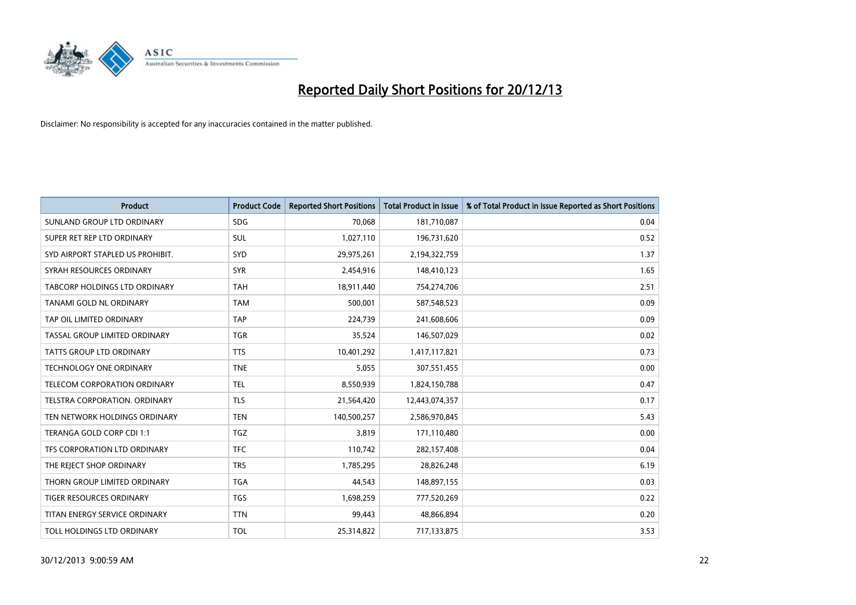

| <b>Product</b>                       | <b>Product Code</b> | <b>Reported Short Positions</b> | <b>Total Product in Issue</b> | % of Total Product in Issue Reported as Short Positions |
|--------------------------------------|---------------------|---------------------------------|-------------------------------|---------------------------------------------------------|
| SUNLAND GROUP LTD ORDINARY           | <b>SDG</b>          | 70,068                          | 181,710,087                   | 0.04                                                    |
| SUPER RET REP LTD ORDINARY           | SUL                 | 1,027,110                       | 196,731,620                   | 0.52                                                    |
| SYD AIRPORT STAPLED US PROHIBIT.     | SYD                 | 29,975,261                      | 2,194,322,759                 | 1.37                                                    |
| SYRAH RESOURCES ORDINARY             | <b>SYR</b>          | 2,454,916                       | 148,410,123                   | 1.65                                                    |
| TABCORP HOLDINGS LTD ORDINARY        | <b>TAH</b>          | 18,911,440                      | 754,274,706                   | 2.51                                                    |
| TANAMI GOLD NL ORDINARY              | <b>TAM</b>          | 500,001                         | 587,548,523                   | 0.09                                                    |
| TAP OIL LIMITED ORDINARY             | <b>TAP</b>          | 224,739                         | 241,608,606                   | 0.09                                                    |
| TASSAL GROUP LIMITED ORDINARY        | <b>TGR</b>          | 35,524                          | 146,507,029                   | 0.02                                                    |
| <b>TATTS GROUP LTD ORDINARY</b>      | <b>TTS</b>          | 10,401,292                      | 1,417,117,821                 | 0.73                                                    |
| <b>TECHNOLOGY ONE ORDINARY</b>       | <b>TNE</b>          | 5,055                           | 307,551,455                   | 0.00                                                    |
| TELECOM CORPORATION ORDINARY         | <b>TEL</b>          | 8,550,939                       | 1,824,150,788                 | 0.47                                                    |
| <b>TELSTRA CORPORATION, ORDINARY</b> | <b>TLS</b>          | 21,564,420                      | 12,443,074,357                | 0.17                                                    |
| TEN NETWORK HOLDINGS ORDINARY        | <b>TEN</b>          | 140,500,257                     | 2,586,970,845                 | 5.43                                                    |
| TERANGA GOLD CORP CDI 1:1            | <b>TGZ</b>          | 3,819                           | 171,110,480                   | 0.00                                                    |
| TFS CORPORATION LTD ORDINARY         | <b>TFC</b>          | 110,742                         | 282,157,408                   | 0.04                                                    |
| THE REJECT SHOP ORDINARY             | <b>TRS</b>          | 1,785,295                       | 28,826,248                    | 6.19                                                    |
| THORN GROUP LIMITED ORDINARY         | <b>TGA</b>          | 44,543                          | 148,897,155                   | 0.03                                                    |
| TIGER RESOURCES ORDINARY             | <b>TGS</b>          | 1,698,259                       | 777,520,269                   | 0.22                                                    |
| TITAN ENERGY SERVICE ORDINARY        | <b>TTN</b>          | 99,443                          | 48,866,894                    | 0.20                                                    |
| TOLL HOLDINGS LTD ORDINARY           | <b>TOL</b>          | 25,314,822                      | 717,133,875                   | 3.53                                                    |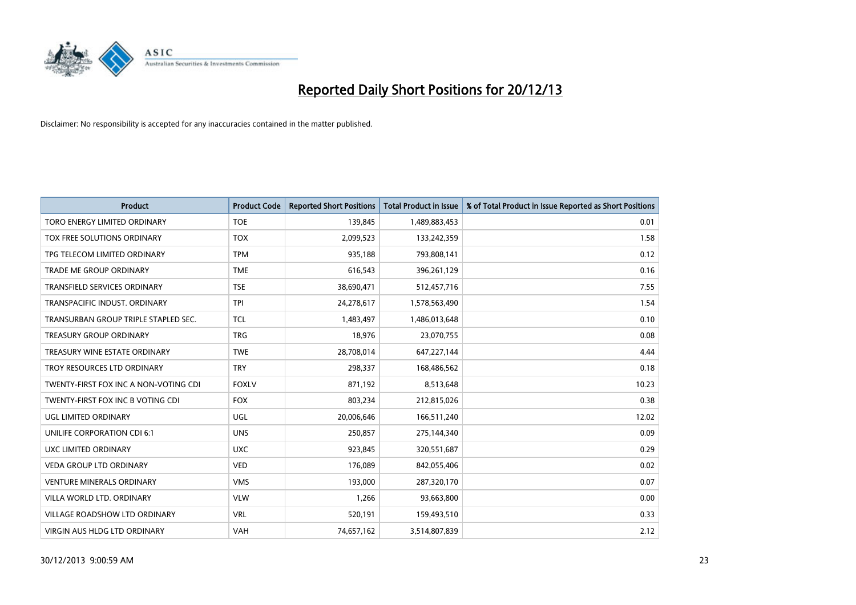

| <b>Product</b>                        | <b>Product Code</b> | <b>Reported Short Positions</b> | <b>Total Product in Issue</b> | % of Total Product in Issue Reported as Short Positions |
|---------------------------------------|---------------------|---------------------------------|-------------------------------|---------------------------------------------------------|
| <b>TORO ENERGY LIMITED ORDINARY</b>   | <b>TOE</b>          | 139,845                         | 1,489,883,453                 | 0.01                                                    |
| TOX FREE SOLUTIONS ORDINARY           | <b>TOX</b>          | 2,099,523                       | 133,242,359                   | 1.58                                                    |
| TPG TELECOM LIMITED ORDINARY          | <b>TPM</b>          | 935,188                         | 793,808,141                   | 0.12                                                    |
| TRADE ME GROUP ORDINARY               | <b>TME</b>          | 616,543                         | 396,261,129                   | 0.16                                                    |
| <b>TRANSFIELD SERVICES ORDINARY</b>   | <b>TSE</b>          | 38,690,471                      | 512,457,716                   | 7.55                                                    |
| TRANSPACIFIC INDUST, ORDINARY         | <b>TPI</b>          | 24,278,617                      | 1,578,563,490                 | 1.54                                                    |
| TRANSURBAN GROUP TRIPLE STAPLED SEC.  | <b>TCL</b>          | 1,483,497                       | 1,486,013,648                 | 0.10                                                    |
| TREASURY GROUP ORDINARY               | <b>TRG</b>          | 18,976                          | 23,070,755                    | 0.08                                                    |
| TREASURY WINE ESTATE ORDINARY         | <b>TWE</b>          | 28,708,014                      | 647,227,144                   | 4.44                                                    |
| TROY RESOURCES LTD ORDINARY           | <b>TRY</b>          | 298,337                         | 168,486,562                   | 0.18                                                    |
| TWENTY-FIRST FOX INC A NON-VOTING CDI | <b>FOXLV</b>        | 871,192                         | 8,513,648                     | 10.23                                                   |
| TWENTY-FIRST FOX INC B VOTING CDI     | <b>FOX</b>          | 803,234                         | 212,815,026                   | 0.38                                                    |
| UGL LIMITED ORDINARY                  | UGL                 | 20,006,646                      | 166,511,240                   | 12.02                                                   |
| UNILIFE CORPORATION CDI 6:1           | <b>UNS</b>          | 250,857                         | 275,144,340                   | 0.09                                                    |
| UXC LIMITED ORDINARY                  | <b>UXC</b>          | 923,845                         | 320,551,687                   | 0.29                                                    |
| VEDA GROUP LTD ORDINARY               | <b>VED</b>          | 176,089                         | 842,055,406                   | 0.02                                                    |
| VENTURE MINERALS ORDINARY             | <b>VMS</b>          | 193,000                         | 287,320,170                   | 0.07                                                    |
| VILLA WORLD LTD, ORDINARY             | <b>VLW</b>          | 1,266                           | 93,663,800                    | 0.00                                                    |
| <b>VILLAGE ROADSHOW LTD ORDINARY</b>  | <b>VRL</b>          | 520,191                         | 159,493,510                   | 0.33                                                    |
| VIRGIN AUS HLDG LTD ORDINARY          | <b>VAH</b>          | 74,657,162                      | 3,514,807,839                 | 2.12                                                    |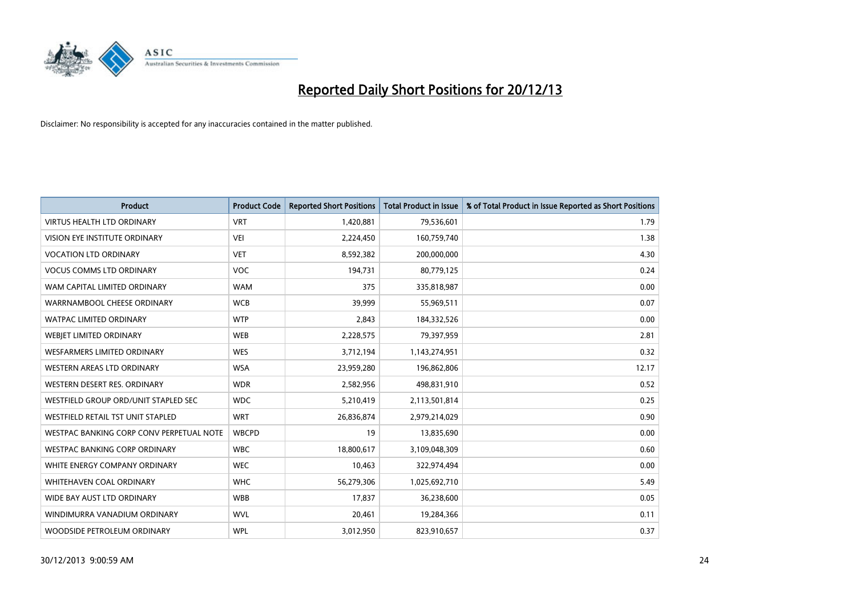

| <b>Product</b>                           | <b>Product Code</b> | <b>Reported Short Positions</b> | <b>Total Product in Issue</b> | % of Total Product in Issue Reported as Short Positions |
|------------------------------------------|---------------------|---------------------------------|-------------------------------|---------------------------------------------------------|
| <b>VIRTUS HEALTH LTD ORDINARY</b>        | <b>VRT</b>          | 1,420,881                       | 79,536,601                    | 1.79                                                    |
| VISION EYE INSTITUTE ORDINARY            | <b>VEI</b>          | 2,224,450                       | 160,759,740                   | 1.38                                                    |
| <b>VOCATION LTD ORDINARY</b>             | <b>VET</b>          | 8,592,382                       | 200,000,000                   | 4.30                                                    |
| <b>VOCUS COMMS LTD ORDINARY</b>          | <b>VOC</b>          | 194,731                         | 80,779,125                    | 0.24                                                    |
| WAM CAPITAL LIMITED ORDINARY             | <b>WAM</b>          | 375                             | 335,818,987                   | 0.00                                                    |
| WARRNAMBOOL CHEESE ORDINARY              | <b>WCB</b>          | 39,999                          | 55,969,511                    | 0.07                                                    |
| <b>WATPAC LIMITED ORDINARY</b>           | <b>WTP</b>          | 2,843                           | 184,332,526                   | 0.00                                                    |
| WEBJET LIMITED ORDINARY                  | <b>WEB</b>          | 2,228,575                       | 79,397,959                    | 2.81                                                    |
| <b>WESFARMERS LIMITED ORDINARY</b>       | <b>WES</b>          | 3,712,194                       | 1,143,274,951                 | 0.32                                                    |
| WESTERN AREAS LTD ORDINARY               | <b>WSA</b>          | 23,959,280                      | 196,862,806                   | 12.17                                                   |
| WESTERN DESERT RES. ORDINARY             | <b>WDR</b>          | 2,582,956                       | 498,831,910                   | 0.52                                                    |
| WESTFIELD GROUP ORD/UNIT STAPLED SEC     | <b>WDC</b>          | 5,210,419                       | 2,113,501,814                 | 0.25                                                    |
| WESTFIELD RETAIL TST UNIT STAPLED        | <b>WRT</b>          | 26,836,874                      | 2,979,214,029                 | 0.90                                                    |
| WESTPAC BANKING CORP CONV PERPETUAL NOTE | <b>WBCPD</b>        | 19                              | 13,835,690                    | 0.00                                                    |
| <b>WESTPAC BANKING CORP ORDINARY</b>     | <b>WBC</b>          | 18,800,617                      | 3,109,048,309                 | 0.60                                                    |
| WHITE ENERGY COMPANY ORDINARY            | <b>WEC</b>          | 10,463                          | 322,974,494                   | 0.00                                                    |
| <b>WHITEHAVEN COAL ORDINARY</b>          | <b>WHC</b>          | 56,279,306                      | 1,025,692,710                 | 5.49                                                    |
| WIDE BAY AUST LTD ORDINARY               | <b>WBB</b>          | 17,837                          | 36,238,600                    | 0.05                                                    |
| WINDIMURRA VANADIUM ORDINARY             | <b>WVL</b>          | 20,461                          | 19,284,366                    | 0.11                                                    |
| WOODSIDE PETROLEUM ORDINARY              | <b>WPL</b>          | 3,012,950                       | 823,910,657                   | 0.37                                                    |